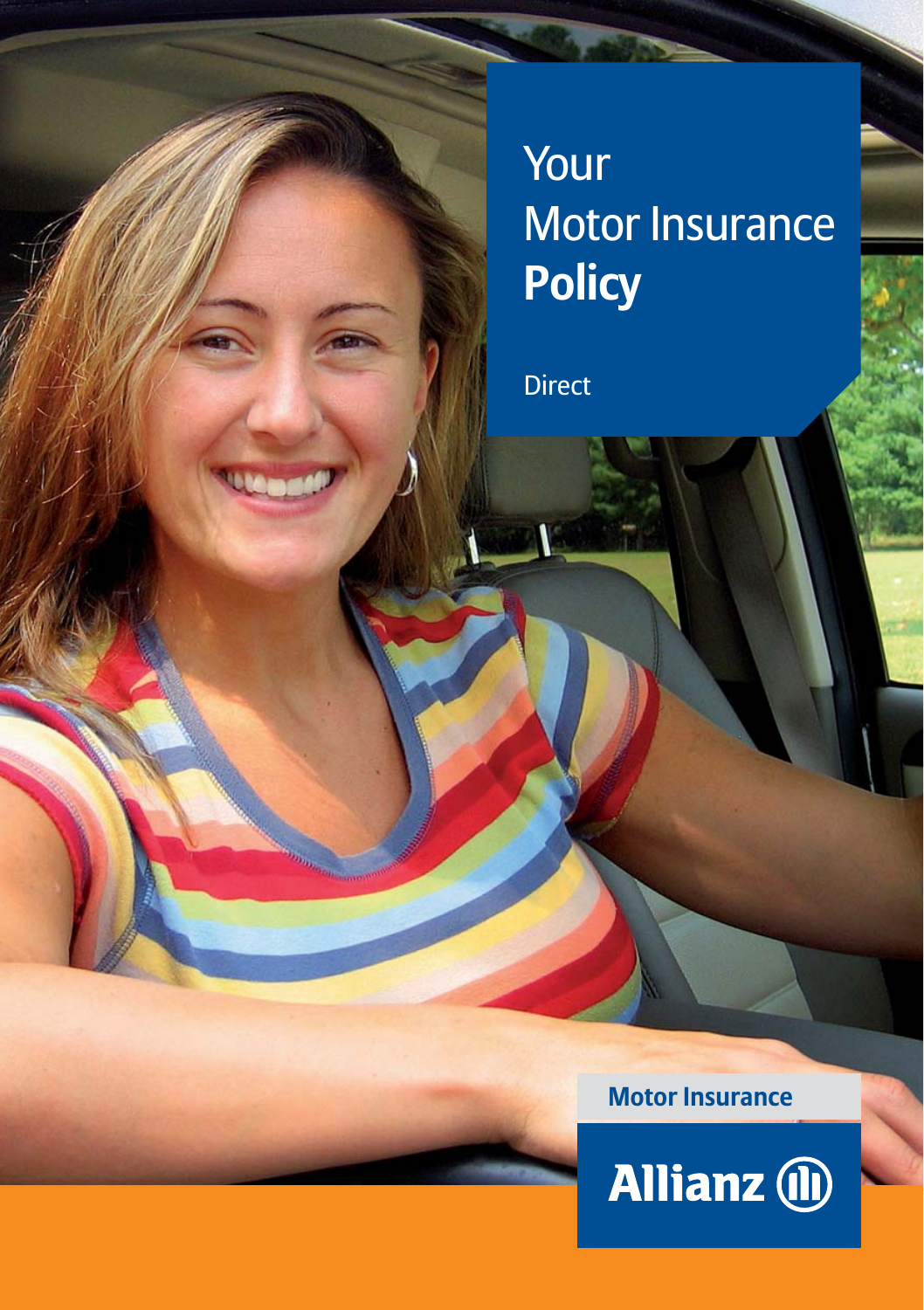# Your Motor Insurance **Policy**

Direct

**Motor Insurance**

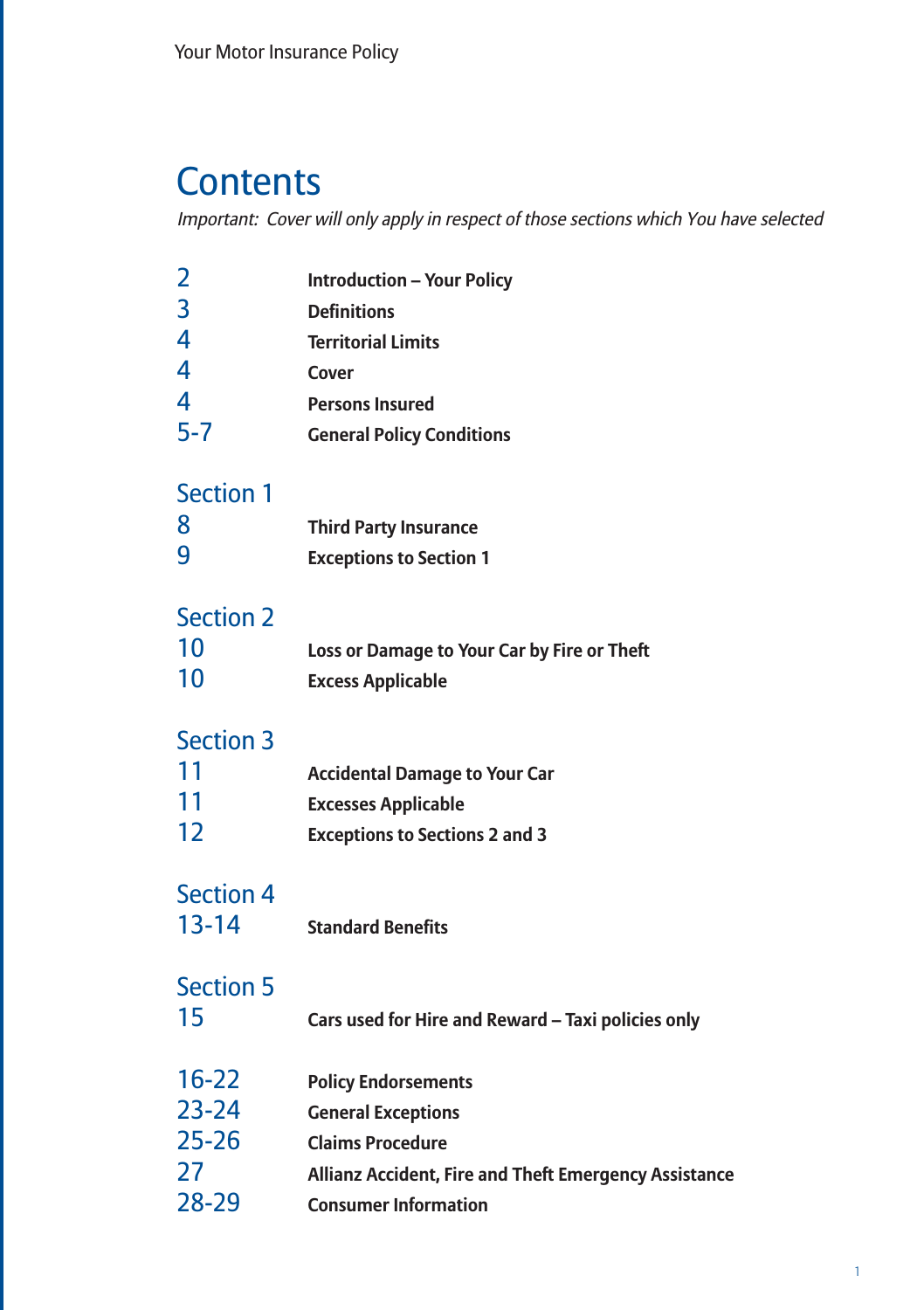### **Contents**

Important: Cover will only apply in respect of those sections which You have selected

| <b>Introduction - Your Policy</b><br><b>Definitions</b><br><b>Territorial Limits</b><br>Cover<br><b>Persons Insured</b><br><b>General Policy Conditions</b>                |
|----------------------------------------------------------------------------------------------------------------------------------------------------------------------------|
| <b>Third Party Insurance</b><br><b>Exceptions to Section 1</b>                                                                                                             |
| Loss or Damage to Your Car by Fire or Theft<br><b>Excess Applicable</b>                                                                                                    |
| <b>Accidental Damage to Your Car</b><br><b>Excesses Applicable</b><br><b>Exceptions to Sections 2 and 3</b>                                                                |
| <b>Standard Benefits</b>                                                                                                                                                   |
| Cars used for Hire and Reward - Taxi policies only                                                                                                                         |
| <b>Policy Endorsements</b><br><b>General Exceptions</b><br><b>Claims Procedure</b><br>Allianz Accident, Fire and Theft Emergency Assistance<br><b>Consumer Information</b> |
|                                                                                                                                                                            |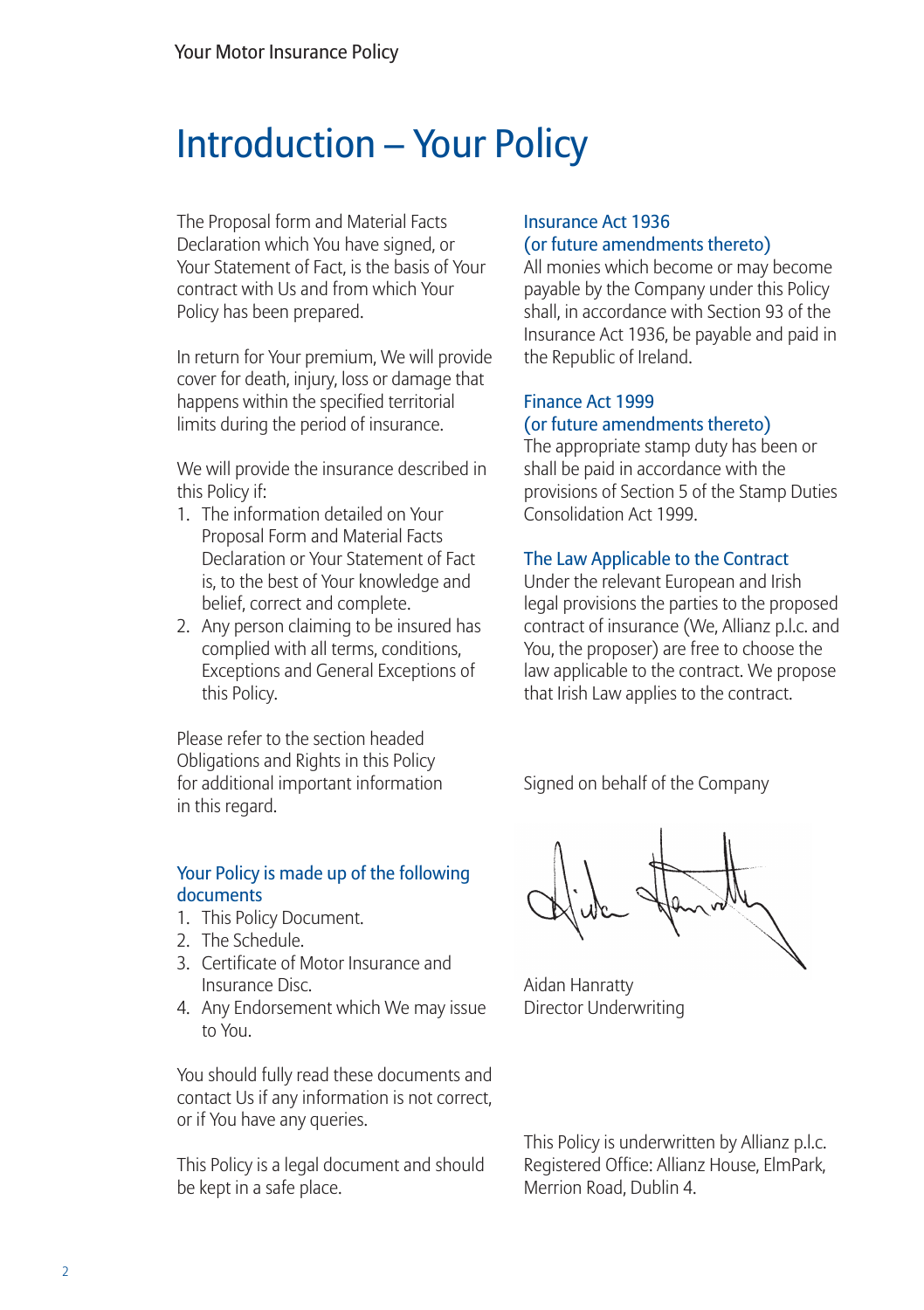### Introduction – Your Policy

The Proposal form and Material Facts Declaration which You have signed, or Your Statement of Fact, is the basis of Your contract with Us and from which Your Policy has been prepared.

In return for Your premium, We will provide cover for death, injury, loss or damage that happens within the specified territorial limits during the period of insurance.

We will provide the insurance described in this Policy if:

- 1. The information detailed on Your Proposal Form and Material Facts Declaration or Your Statement of Fact is, to the best of Your knowledge and belief, correct and complete.
- 2. Any person claiming to be insured has complied with all terms, conditions, Exceptions and General Exceptions of this Policy.

Please refer to the section headed Obligations and Rights in this Policy for additional important information in this regard.

#### Your Policy is made up of the following documents

- 1. This Policy Document.
- 2. The Schedule.
- 3. Certificate of Motor Insurance and Insurance Disc.
- 4. Any Endorsement which We may issue to You.

You should fully read these documents and contact Us if any information is not correct, or if You have any queries.

This Policy is a legal document and should be kept in a safe place.

#### Insurance Act 1936 (or future amendments thereto)

All monies which become or may become payable by the Company under this Policy shall, in accordance with Section 93 of the Insurance Act 1936, be payable and paid in the Republic of Ireland.

#### Finance Act 1999 (or future amendments thereto)

The appropriate stamp duty has been or shall be paid in accordance with the provisions of Section 5 of the Stamp Duties Consolidation Act 1999.

#### The Law Applicable to the Contract

Under the relevant European and Irish legal provisions the parties to the proposed contract of insurance (We, Allianz p.l.c. and You, the proposer) are free to choose the law applicable to the contract. We propose that Irish Law applies to the contract.

Signed on behalf of the Company

Aidan Hanratty Director Underwriting

This Policy is underwritten by Allianz p.l.c. Registered Office: Allianz House, ElmPark, Merrion Road, Dublin 4.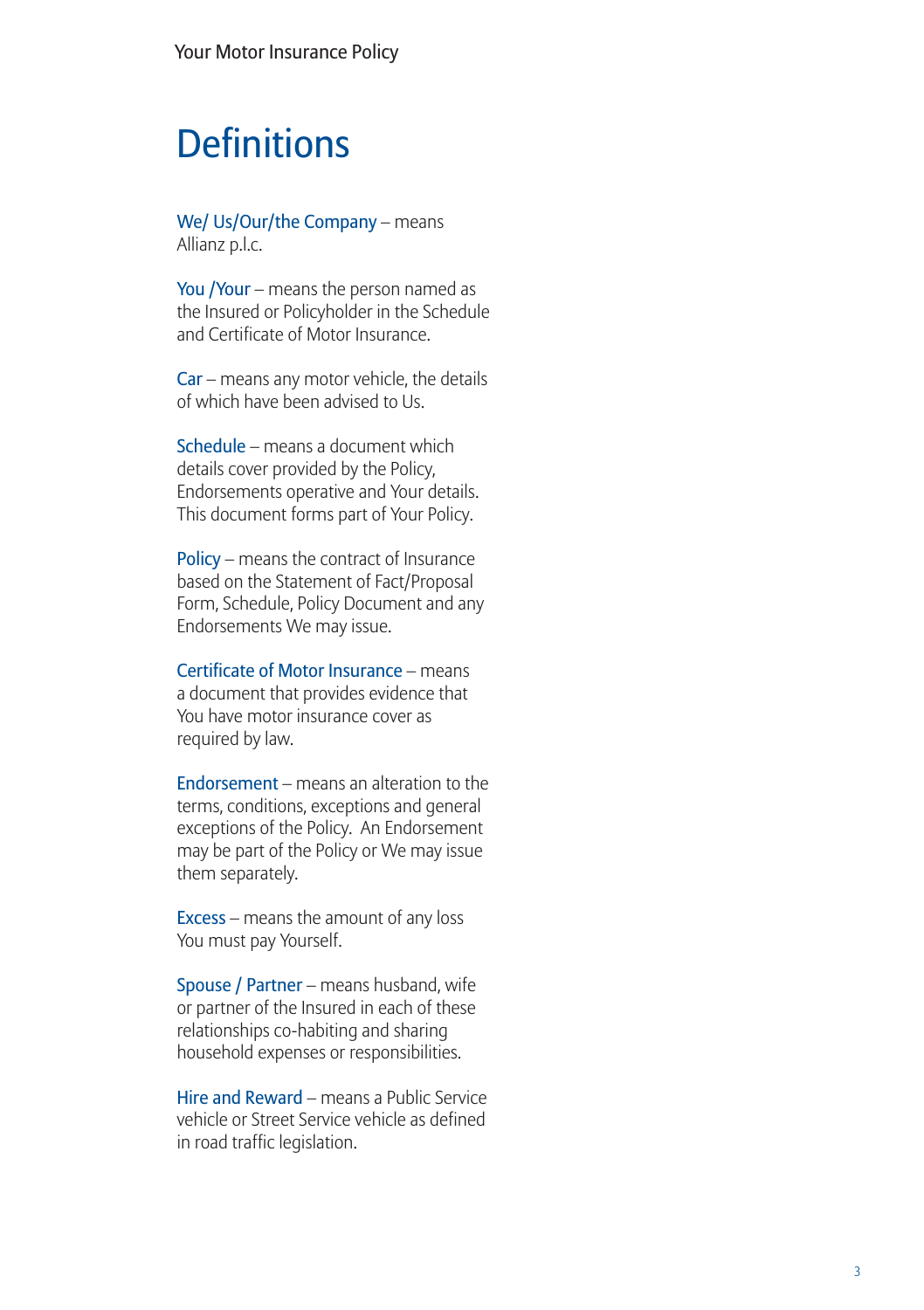### **Definitions**

We/ Us/Our/the Company – means Allianz p.l.c.

You /Your – means the person named as the Insured or Policyholder in the Schedule and Certificate of Motor Insurance.

Car – means any motor vehicle, the details of which have been advised to Us.

Schedule – means a document which details cover provided by the Policy, Endorsements operative and Your details. This document forms part of Your Policy.

Policy – means the contract of Insurance based on the Statement of Fact/Proposal Form, Schedule, Policy Document and any Endorsements We may issue.

Certificate of Motor Insurance – means a document that provides evidence that You have motor insurance cover as required by law.

Endorsement – means an alteration to the terms, conditions, exceptions and general exceptions of the Policy. An Endorsement may be part of the Policy or We may issue them separately.

Excess – means the amount of any loss You must pay Yourself.

Spouse / Partner – means husband, wife or partner of the Insured in each of these relationships co-habiting and sharing household expenses or responsibilities.

Hire and Reward – means a Public Service vehicle or Street Service vehicle as defined in road traffic legislation.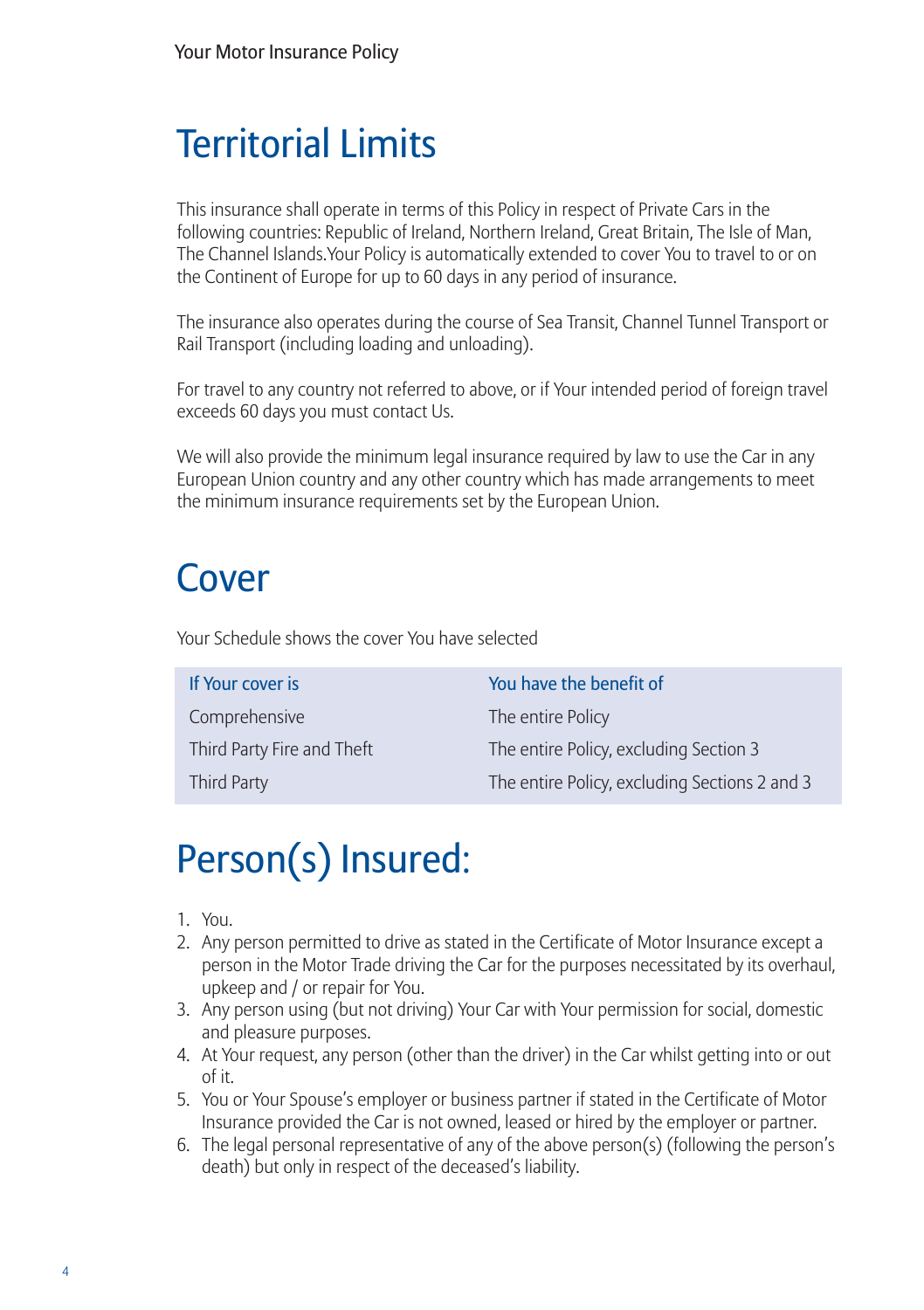## **Territorial Limits**

This insurance shall operate in terms of this Policy in respect of Private Cars in the following countries: Republic of Ireland, Northern Ireland, Great Britain, The Isle of Man, The Channel Islands.Your Policy is automatically extended to cover You to travel to or on the Continent of Europe for up to 60 days in any period of insurance.

The insurance also operates during the course of Sea Transit, Channel Tunnel Transport or Rail Transport (including loading and unloading).

For travel to any country not referred to above, or if Your intended period of foreign travel exceeds 60 days you must contact Us.

We will also provide the minimum legal insurance required by law to use the Car in any European Union country and any other country which has made arrangements to meet the minimum insurance requirements set by the European Union.

## Cover

Your Schedule shows the cover You have selected

Comprehensive The entire Policy

If Your cover is You have the benefit of Third Party Fire and Theft The entire Policy, excluding Section 3 Third Party The entire Policy, excluding Sections 2 and 3

# Person(s) Insured:

- 1. You.
- 2. Any person permitted to drive as stated in the Certificate of Motor Insurance except a person in the Motor Trade driving the Car for the purposes necessitated by its overhaul, upkeep and / or repair for You.
- 3. Any person using (but not driving) Your Car with Your permission for social, domestic and pleasure purposes.
- 4. At Your request, any person (other than the driver) in the Car whilst getting into or out of it.
- 5. You or Your Spouse's employer or business partner if stated in the Certificate of Motor Insurance provided the Car is not owned, leased or hired by the employer or partner.
- 6. The legal personal representative of any of the above person(s) (following the person's death) but only in respect of the deceased's liability.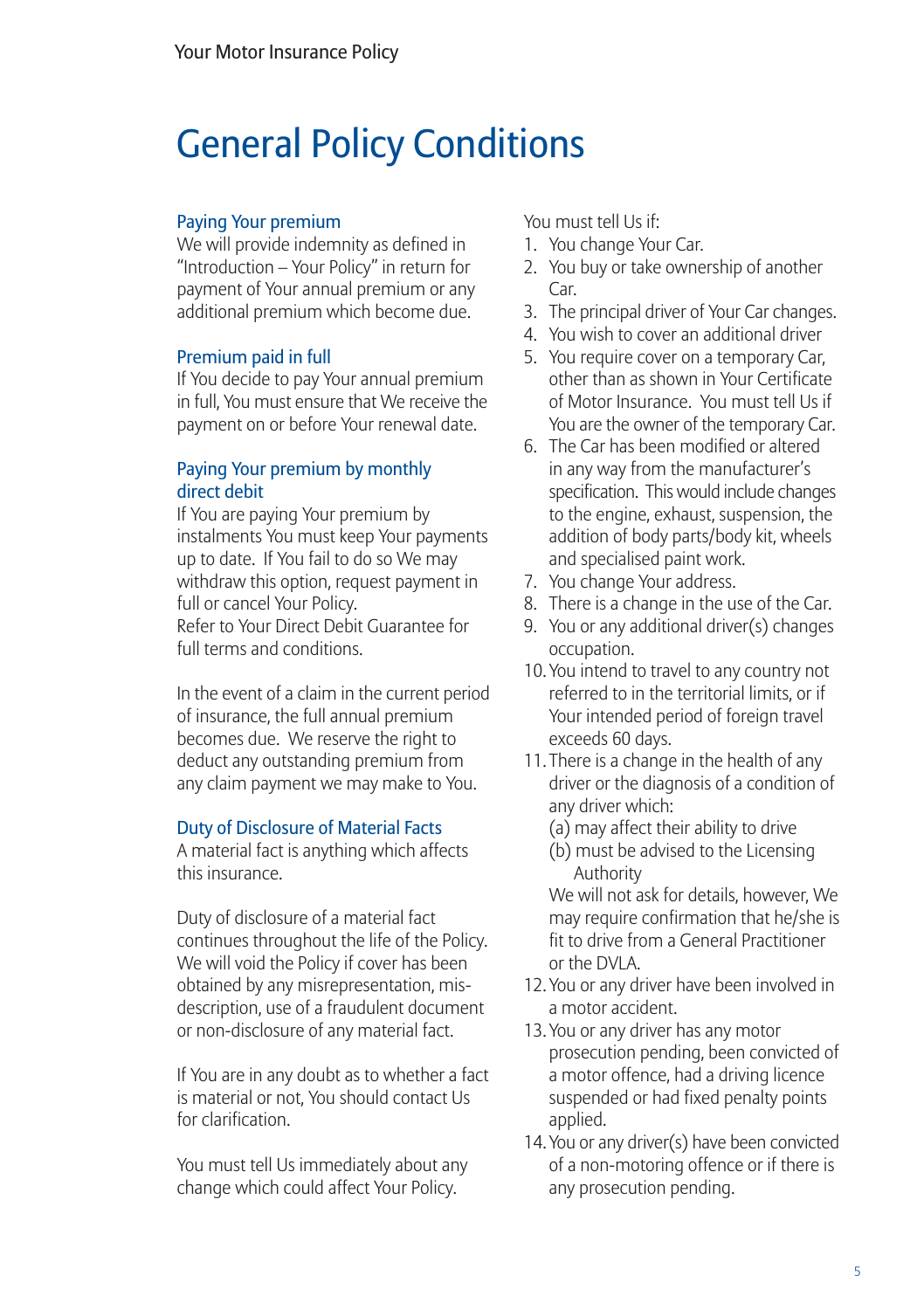### General Policy Conditions

#### Paying Your premium

We will provide indemnity as defined in "Introduction – Your Policy" in return for payment of Your annual premium or any additional premium which become due.

#### Premium paid in full

If You decide to pay Your annual premium in full, You must ensure that We receive the payment on or before Your renewal date.

#### Paying Your premium by monthly direct debit

If You are paying Your premium by instalments You must keep Your payments up to date. If You fail to do so We may withdraw this option, request payment in full or cancel Your Policy. Refer to Your Direct Debit Guarantee for full terms and conditions.

In the event of a claim in the current period of insurance, the full annual premium becomes due. We reserve the right to deduct any outstanding premium from any claim payment we may make to You.

#### Duty of Disclosure of Material Facts

A material fact is anything which affects this insurance.

Duty of disclosure of a material fact continues throughout the life of the Policy. We will void the Policy if cover has been obtained by any misrepresentation, misdescription, use of a fraudulent document or non-disclosure of any material fact.

If You are in any doubt as to whether a fact is material or not, You should contact Us for clarification.

You must tell Us immediately about any change which could affect Your Policy.

You must tell Us if:

- 1. You change Your Car.
- 2. You buy or take ownership of another Car
- 3. The principal driver of Your Car changes.
- 4. You wish to cover an additional driver
- 5. You require cover on a temporary Car, other than as shown in Your Certificate of Motor Insurance. You must tell Us if You are the owner of the temporary Car.
- 6. The Car has been modified or altered in any way from the manufacturer's specification. This would include changes to the engine, exhaust, suspension, the addition of body parts/body kit, wheels and specialised paint work.
- 7. You change Your address.
- 8. There is a change in the use of the Car.
- 9. You or any additional driver(s) changes occupation.
- 10. You intend to travel to any country not referred to in the territorial limits, or if Your intended period of foreign travel exceeds 60 days.
- 11. There is a change in the health of any driver or the diagnosis of a condition of any driver which:
	- (a) may affect their ability to drive
	- (b) must be advised to the Licensing Authority

We will not ask for details, however, We may require confirmation that he/she is fit to drive from a General Practitioner or the DVLA.

- 12. You or any driver have been involved in a motor accident.
- 13. You or any driver has any motor prosecution pending, been convicted of a motor offence, had a driving licence suspended or had fixed penalty points applied.
- 14. You or any driver(s) have been convicted of a non-motoring offence or if there is any prosecution pending.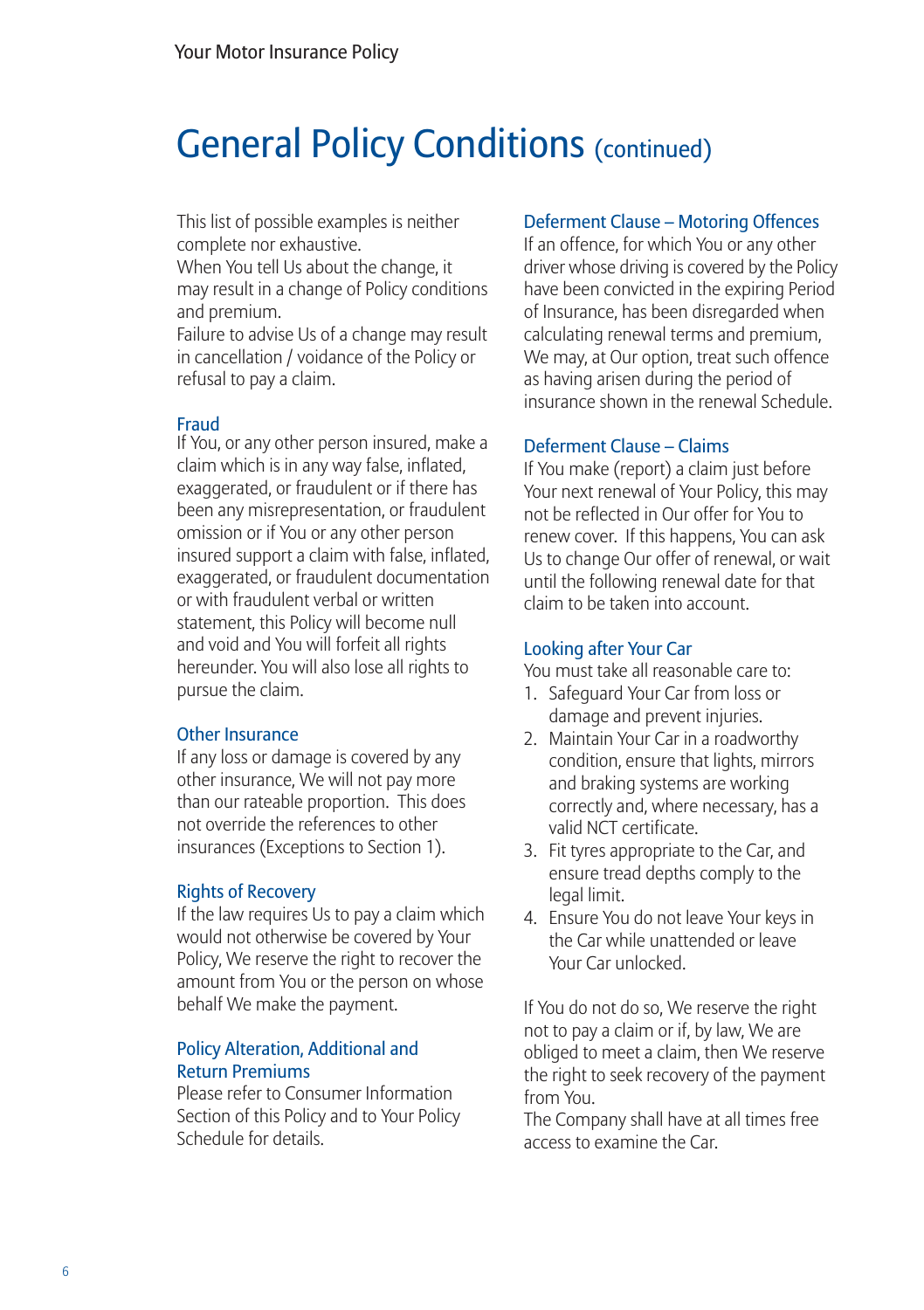### General Policy Conditions (continued)

This list of possible examples is neither complete nor exhaustive.

When You tell Us about the change, it may result in a change of Policy conditions and premium.

Failure to advise Us of a change may result in cancellation / voidance of the Policy or refusal to pay a claim.

#### Fraud

If You, or any other person insured, make a claim which is in any way false, inflated, exaggerated, or fraudulent or if there has been any misrepresentation, or fraudulent omission or if You or any other person insured support a claim with false, inflated, exaggerated, or fraudulent documentation or with fraudulent verbal or written statement, this Policy will become null and void and You will forfeit all rights hereunder. You will also lose all rights to pursue the claim.

#### Other Insurance

If any loss or damage is covered by any other insurance, We will not pay more than our rateable proportion. This does not override the references to other insurances (Exceptions to Section 1).

#### Rights of Recovery

If the law requires Us to pay a claim which would not otherwise be covered by Your Policy, We reserve the right to recover the amount from You or the person on whose behalf We make the payment.

#### Policy Alteration, Additional and Return Premiums

Please refer to Consumer Information Section of this Policy and to Your Policy Schedule for details.

#### Deferment Clause – Motoring Offences

If an offence, for which You or any other driver whose driving is covered by the Policy have been convicted in the expiring Period of Insurance, has been disregarded when calculating renewal terms and premium, We may, at Our option, treat such offence as having arisen during the period of insurance shown in the renewal Schedule.

#### Deferment Clause – Claims

If You make (report) a claim just before Your next renewal of Your Policy, this may not be reflected in Our offer for You to renew cover. If this happens, You can ask Us to change Our offer of renewal, or wait until the following renewal date for that claim to be taken into account.

#### Looking after Your Car

You must take all reasonable care to:

- 1. Safeguard Your Car from loss or damage and prevent injuries.
- 2. Maintain Your Car in a roadworthy condition, ensure that lights, mirrors and braking systems are working correctly and, where necessary, has a valid NCT certificate.
- 3. Fit tyres appropriate to the Car, and ensure tread depths comply to the legal limit.
- 4. Ensure You do not leave Your keys in the Car while unattended or leave Your Car unlocked.

If You do not do so, We reserve the right not to pay a claim or if, by law, We are obliged to meet a claim, then We reserve the right to seek recovery of the payment from You.

The Company shall have at all times free access to examine the Car.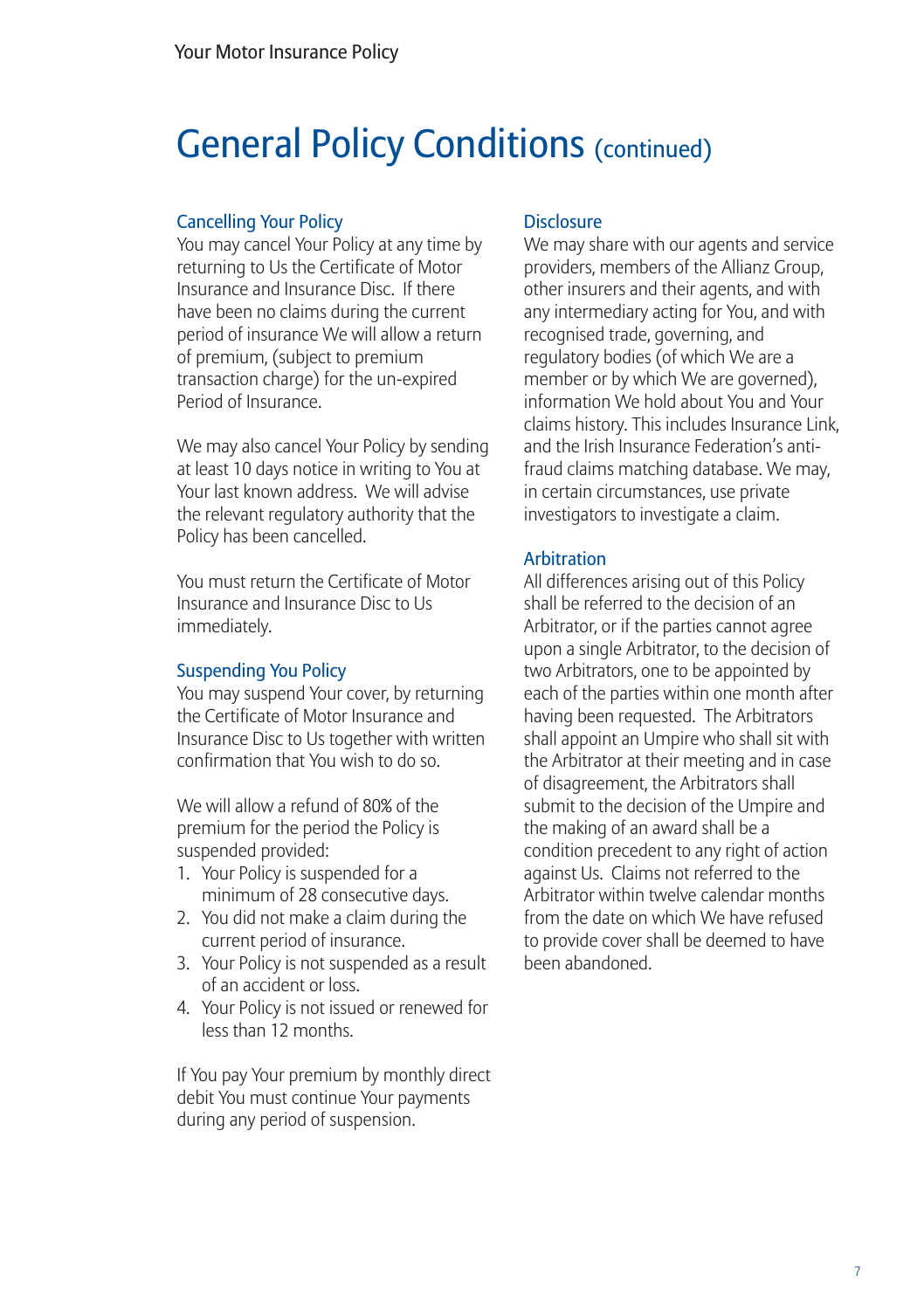### General Policy Conditions (continued)

#### Cancelling Your Policy

You may cancel Your Policy at any time by returning to Us the Certificate of Motor Insurance and Insurance Disc. If there have been no claims during the current period of insurance We will allow a return of premium, (subject to premium transaction charge) for the un-expired Period of Insurance.

We may also cancel Your Policy by sending at least 10 days notice in writing to You at Your last known address. We will advise the relevant regulatory authority that the Policy has been cancelled.

You must return the Certificate of Motor Insurance and Insurance Disc to Us immediately.

#### Suspending You Policy

You may suspend Your cover, by returning the Certificate of Motor Insurance and Insurance Disc to Us together with written confirmation that You wish to do so.

We will allow a refund of 80% of the premium for the period the Policy is suspended provided:

- 1. Your Policy is suspended for a minimum of 28 consecutive days.
- 2. You did not make a claim during the current period of insurance.
- 3. Your Policy is not suspended as a result of an accident or loss.
- 4. Your Policy is not issued or renewed for less than 12 months.

If You pay Your premium by monthly direct debit You must continue Your payments during any period of suspension.

#### **Disclosure**

We may share with our agents and service providers, members of the Allianz Group, other insurers and their agents, and with any intermediary acting for You, and with recognised trade, governing, and regulatory bodies (of which We are a member or by which We are governed), information We hold about You and Your claims history. This includes Insurance Link, and the Irish Insurance Federation's antifraud claims matching database. We may, in certain circumstances, use private investigators to investigate a claim.

#### Arbitration

All differences arising out of this Policy shall be referred to the decision of an Arbitrator, or if the parties cannot agree upon a single Arbitrator, to the decision of two Arbitrators, one to be appointed by each of the parties within one month after having been requested. The Arbitrators shall appoint an Umpire who shall sit with the Arbitrator at their meeting and in case of disagreement, the Arbitrators shall submit to the decision of the Umpire and the making of an award shall be a condition precedent to any right of action against Us. Claims not referred to the Arbitrator within twelve calendar months from the date on which We have refused to provide cover shall be deemed to have been abandoned.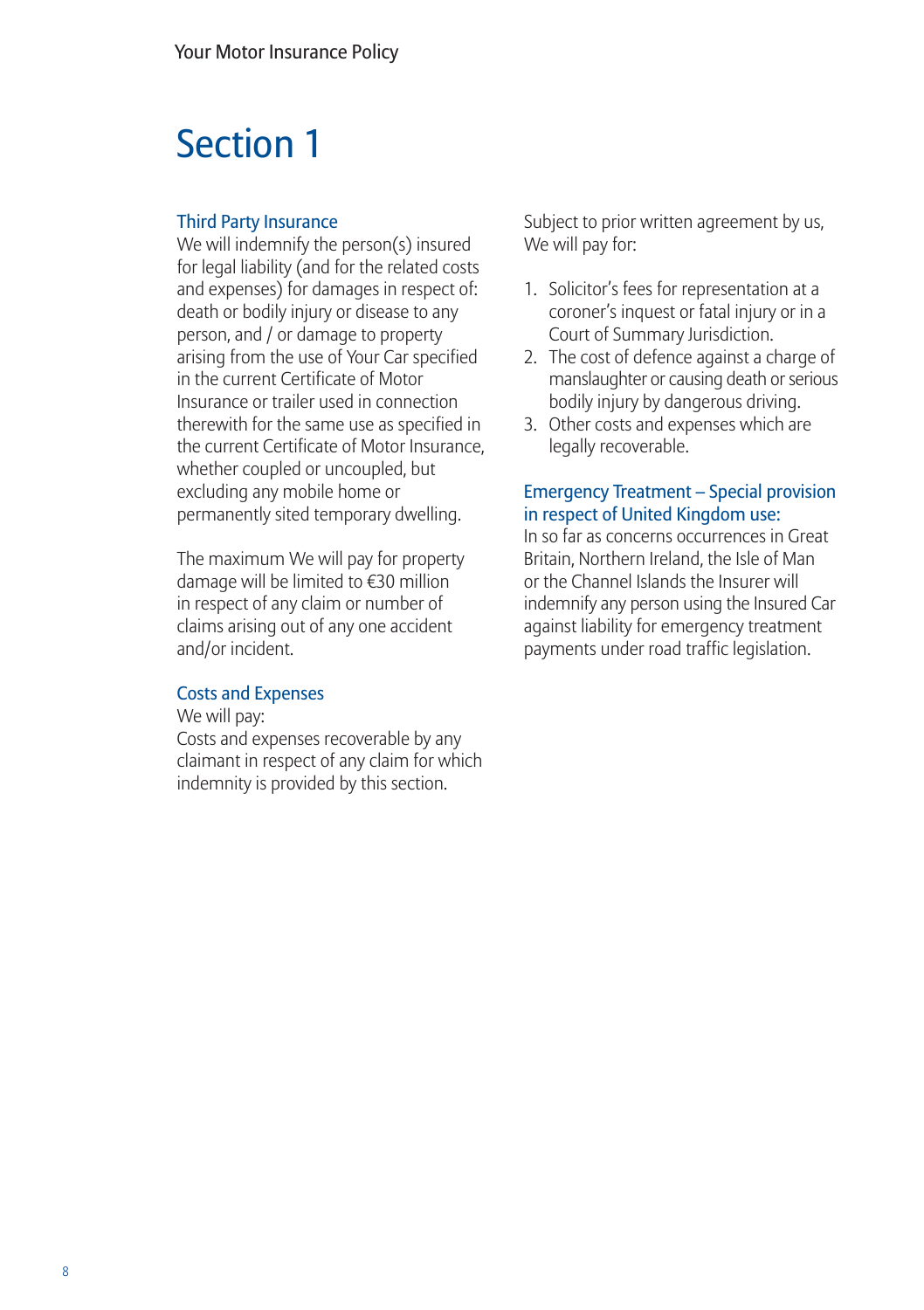## Section 1

#### Third Party Insurance

We will indemnify the person(s) insured for legal liability (and for the related costs and expenses) for damages in respect of: death or bodily injury or disease to any person, and / or damage to property arising from the use of Your Car specified in the current Certificate of Motor Insurance or trailer used in connection therewith for the same use as specified in the current Certificate of Motor Insurance, whether coupled or uncoupled, but excluding any mobile home or permanently sited temporary dwelling.

The maximum We will pay for property damage will be limited to €30 million in respect of any claim or number of claims arising out of any one accident and/or incident.

#### Costs and Expenses

We will pay:

Costs and expenses recoverable by any claimant in respect of any claim for which indemnity is provided by this section.

Subject to prior written agreement by us, We will pay for:

- 1. Solicitor's fees for representation at a coroner's inquest or fatal injury or in a Court of Summary Jurisdiction.
- 2. The cost of defence against a charge of manslaughter or causing death or serious bodily injury by dangerous driving.
- 3. Other costs and expenses which are legally recoverable.

#### Emergency Treatment – Special provision in respect of United Kingdom use:

In so far as concerns occurrences in Great Britain, Northern Ireland, the Isle of Man or the Channel Islands the Insurer will indemnify any person using the Insured Car against liability for emergency treatment payments under road traffic legislation.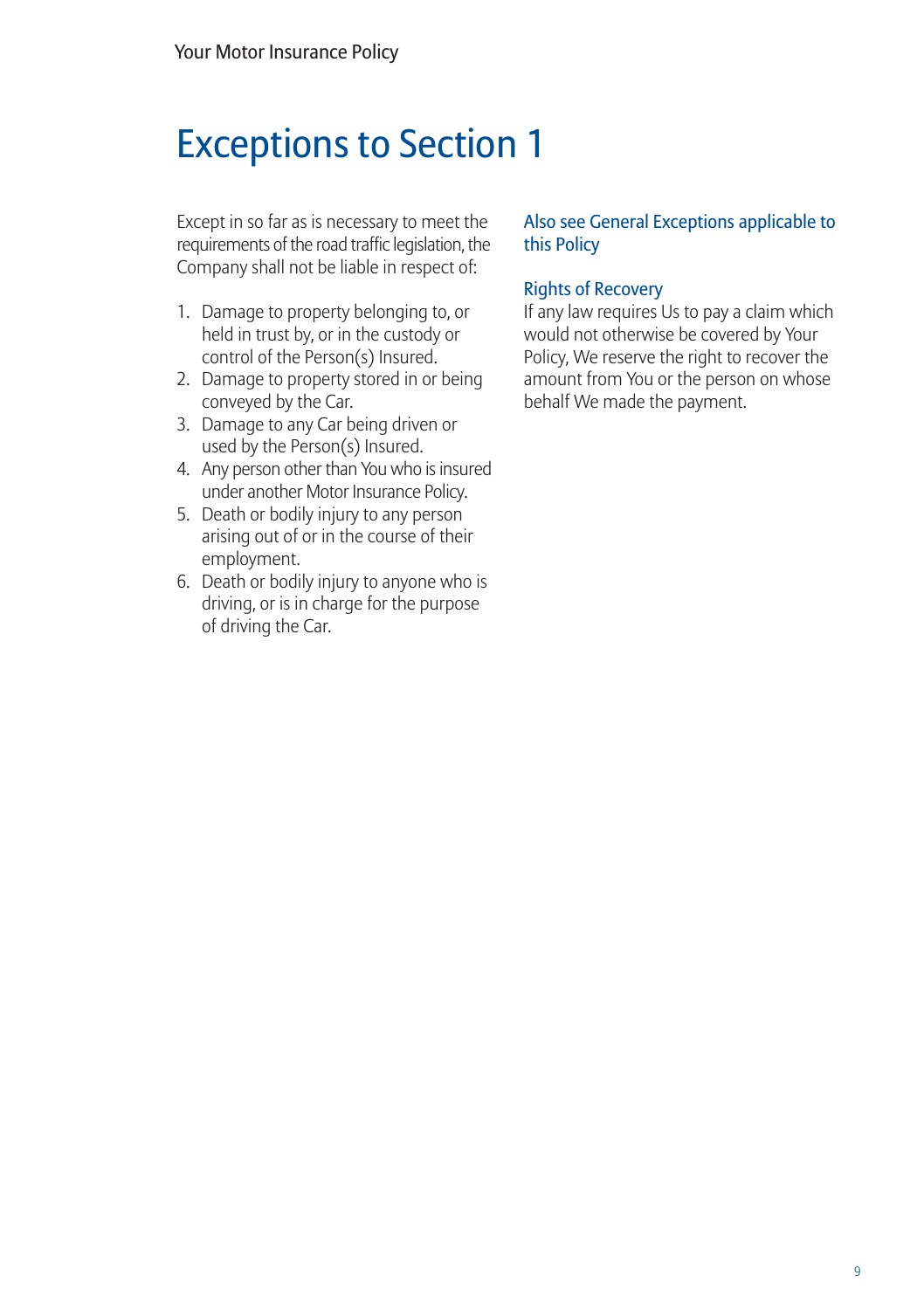### Exceptions to Section 1

Except in so far as is necessary to meet the requirements of the road traffic legislation, the Company shall not be liable in respect of:

- 1. Damage to property belonging to, or held in trust by, or in the custody or control of the Person(s) Insured.
- 2. Damage to property stored in or being conveyed by the Car.
- 3. Damage to any Car being driven or used by the Person(s) Insured.
- 4. Any person other than You who is insured under another Motor Insurance Policy.
- 5. Death or bodily injury to any person arising out of or in the course of their employment.
- 6. Death or bodily injury to anyone who is driving, or is in charge for the purpose of driving the Car.

#### Also see General Exceptions applicable to this Policy

#### Rights of Recovery

If any law requires Us to pay a claim which would not otherwise be covered by Your Policy, We reserve the right to recover the amount from You or the person on whose behalf We made the payment.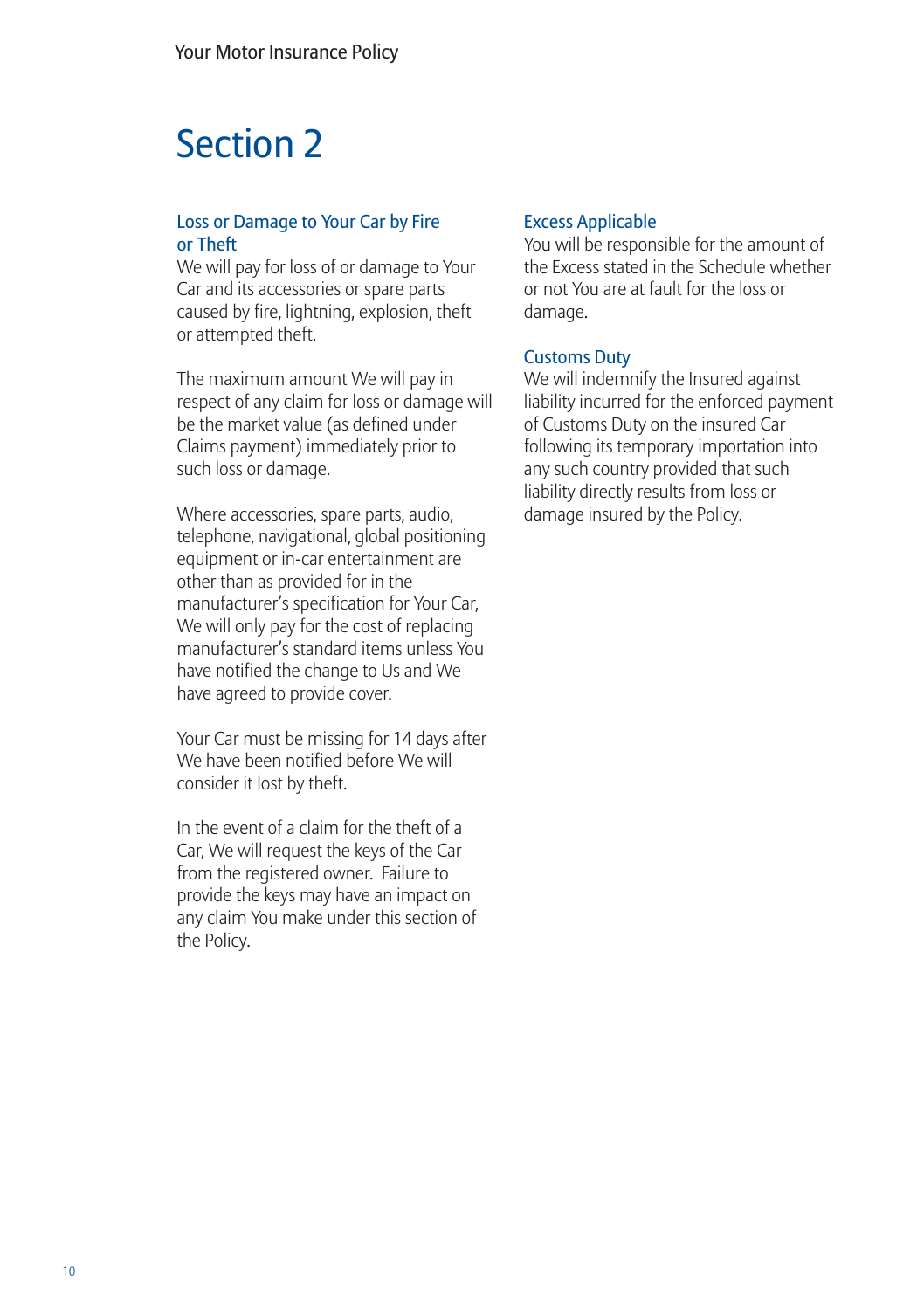## Section 2

#### Loss or Damage to Your Car by Fire or Theft

We will pay for loss of or damage to Your Car and its accessories or spare parts caused by fire, lightning, explosion, theft or attempted theft.

The maximum amount We will pay in respect of any claim for loss or damage will be the market value (as defined under Claims payment) immediately prior to such loss or damage.

Where accessories, spare parts, audio, telephone, navigational, global positioning equipment or in-car entertainment are other than as provided for in the manufacturer's specification for Your Car, We will only pay for the cost of replacing manufacturer's standard items unless You have notified the change to Us and We have agreed to provide cover.

Your Car must be missing for 14 days after We have been notified before We will consider it lost by theft.

In the event of a claim for the theft of a Car, We will request the keys of the Car from the registered owner. Failure to provide the keys may have an impact on any claim You make under this section of the Policy.

#### Excess Applicable

You will be responsible for the amount of the Excess stated in the Schedule whether or not You are at fault for the loss or damage.

#### Customs Duty

We will indemnify the Insured against liability incurred for the enforced payment of Customs Duty on the insured Car following its temporary importation into any such country provided that such liability directly results from loss or damage insured by the Policy.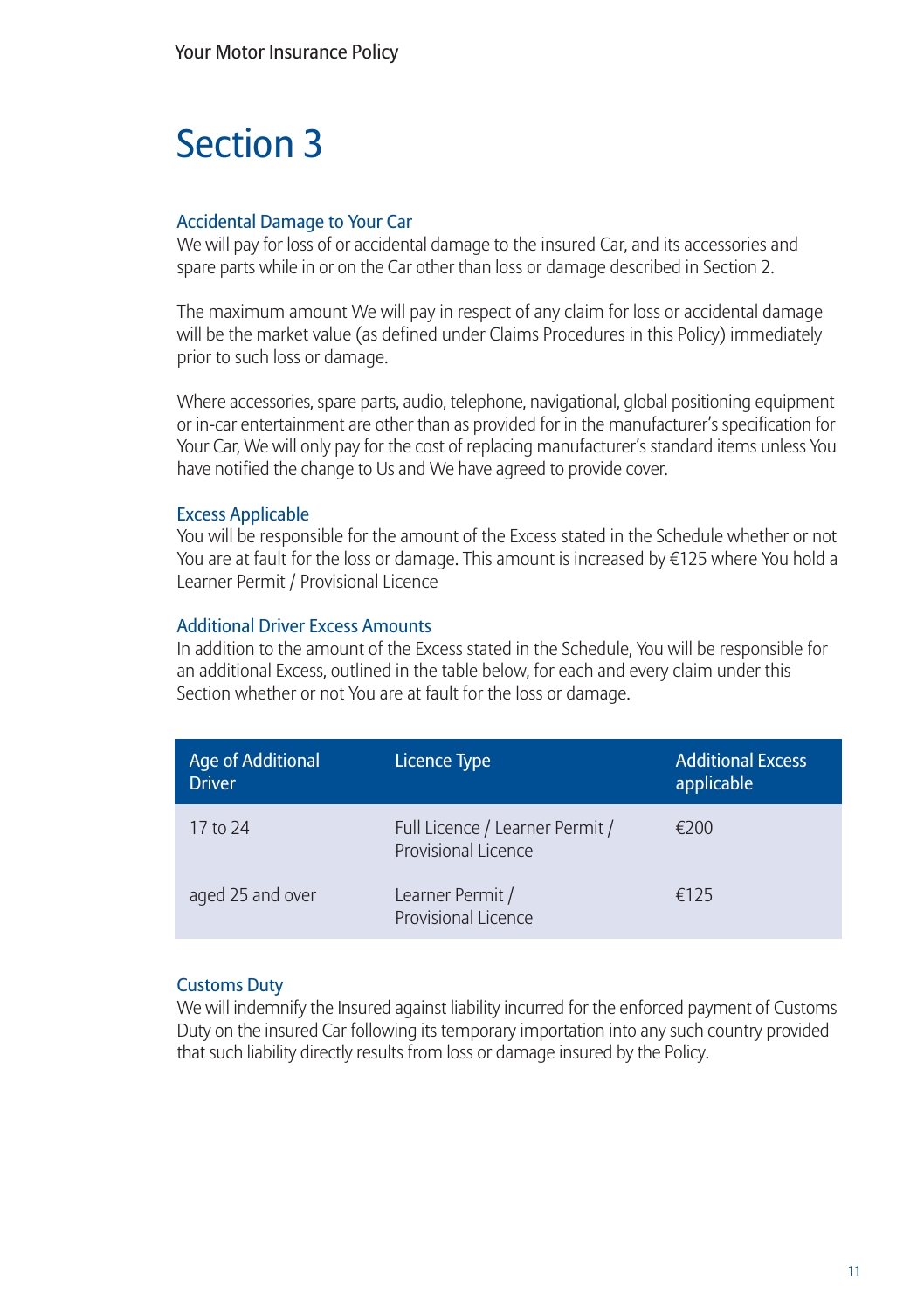## Section 3

#### Accidental Damage to Your Car

We will pay for loss of or accidental damage to the insured Car, and its accessories and spare parts while in or on the Car other than loss or damage described in Section 2.

The maximum amount We will pay in respect of any claim for loss or accidental damage will be the market value (as defined under Claims Procedures in this Policy) immediately prior to such loss or damage.

Where accessories, spare parts, audio, telephone, navigational, global positioning equipment or in-car entertainment are other than as provided for in the manufacturer's specification for Your Car, We will only pay for the cost of replacing manufacturer's standard items unless You have notified the change to Us and We have agreed to provide cover.

#### Excess Applicable

You will be responsible for the amount of the Excess stated in the Schedule whether or not You are at fault for the loss or damage. This amount is increased by €125 where You hold a Learner Permit / Provisional Licence

#### Additional Driver Excess Amounts

In addition to the amount of the Excess stated in the Schedule, You will be responsible for an additional Excess, outlined in the table below, for each and every claim under this Section whether or not You are at fault for the loss or damage.

| Age of Additional<br><b>Driver</b> | Licence Type                                                  | <b>Additional Excess</b><br>applicable |
|------------------------------------|---------------------------------------------------------------|----------------------------------------|
| 17 to 24                           | Full Licence / Learner Permit /<br><b>Provisional Licence</b> | €200                                   |
| aged 25 and over                   | Learner Permit /<br>Provisional Licence                       | £125                                   |

#### Customs Duty

We will indemnify the Insured against liability incurred for the enforced payment of Customs Duty on the insured Car following its temporary importation into any such country provided that such liability directly results from loss or damage insured by the Policy.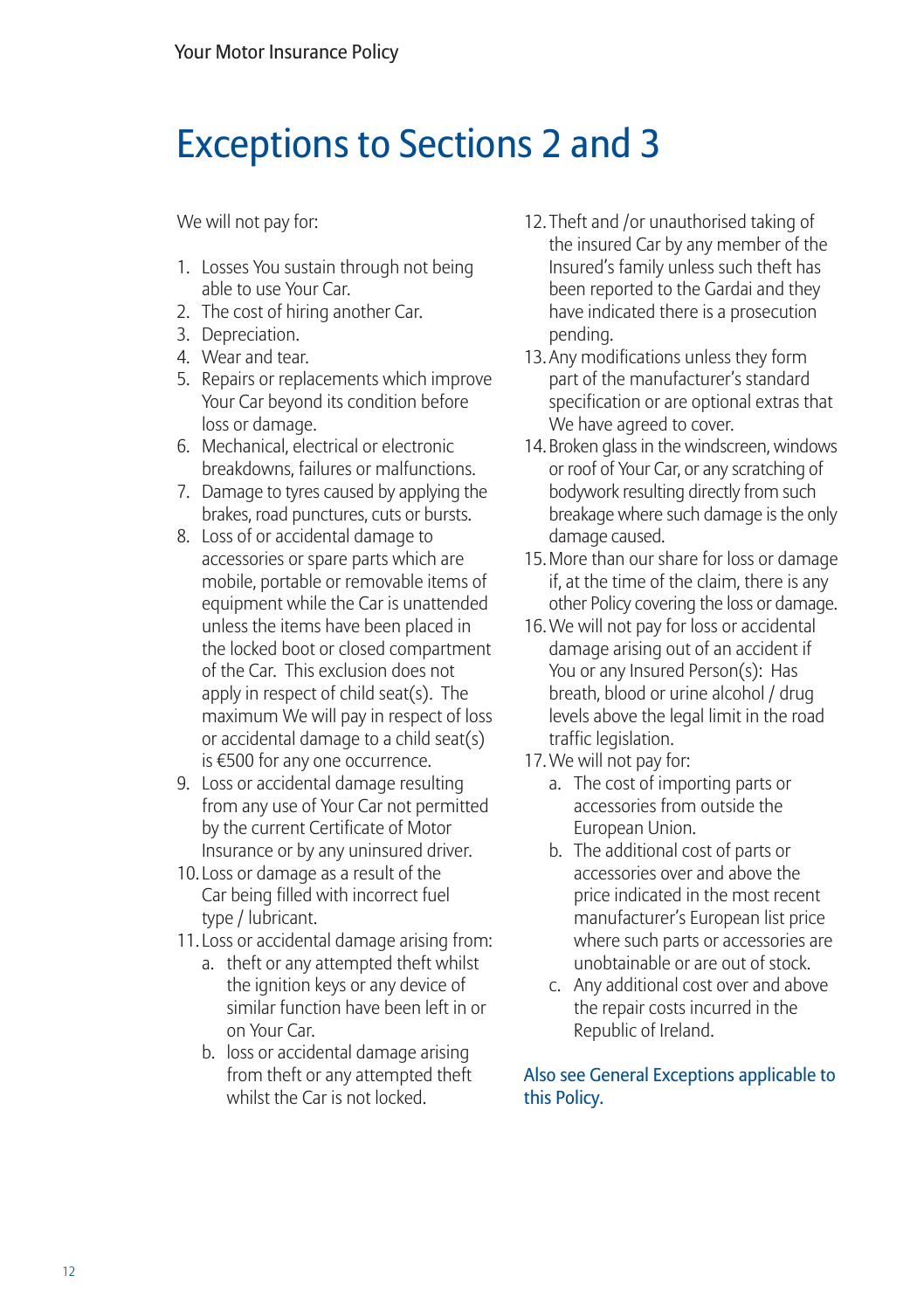## Exceptions to Sections 2 and 3

We will not pay for:

- 1. Losses You sustain through not being able to use Your Car.
- 2. The cost of hiring another Car.
- 3. Depreciation.
- 4. Wear and tear.
- 5. Repairs or replacements which improve Your Car beyond its condition before loss or damage.
- 6. Mechanical, electrical or electronic breakdowns, failures or malfunctions.
- 7. Damage to tyres caused by applying the brakes, road punctures, cuts or bursts.
- 8. Loss of or accidental damage to accessories or spare parts which are mobile, portable or removable items of equipment while the Car is unattended unless the items have been placed in the locked boot or closed compartment of the Car. This exclusion does not apply in respect of child seat(s). The maximum We will pay in respect of loss or accidental damage to a child seat(s) is €500 for any one occurrence.
- 9. Loss or accidental damage resulting from any use of Your Car not permitted by the current Certificate of Motor Insurance or by any uninsured driver.
- 10. Loss or damage as a result of the Car being filled with incorrect fuel type / lubricant.
- 11. Loss or accidental damage arising from:
	- a. theft or any attempted theft whilst the ignition keys or any device of similar function have been left in or on Your Car.
	- b. loss or accidental damage arising from theft or any attempted theft whilst the Car is not locked.
- 12. Theft and /or unauthorised taking of the insured Car by any member of the Insured's family unless such theft has been reported to the Gardai and they have indicated there is a prosecution pending.
- 13. Any modifications unless they form part of the manufacturer's standard specification or are optional extras that We have agreed to cover.
- 14. Broken glass in the windscreen, windows or roof of Your Car, or any scratching of bodywork resulting directly from such breakage where such damage is the only damage caused.
- 15. More than our share for loss or damage if, at the time of the claim, there is any other Policy covering the loss or damage.
- 16. We will not pay for loss or accidental damage arising out of an accident if You or any Insured Person(s): Has breath, blood or urine alcohol / drug levels above the legal limit in the road traffic legislation.
- 17. We will not pay for:
	- a. The cost of importing parts or accessories from outside the European Union.
	- b. The additional cost of parts or accessories over and above the price indicated in the most recent manufacturer's European list price where such parts or accessories are unobtainable or are out of stock.
	- c. Any additional cost over and above the repair costs incurred in the Republic of Ireland.

Also see General Exceptions applicable to this Policy.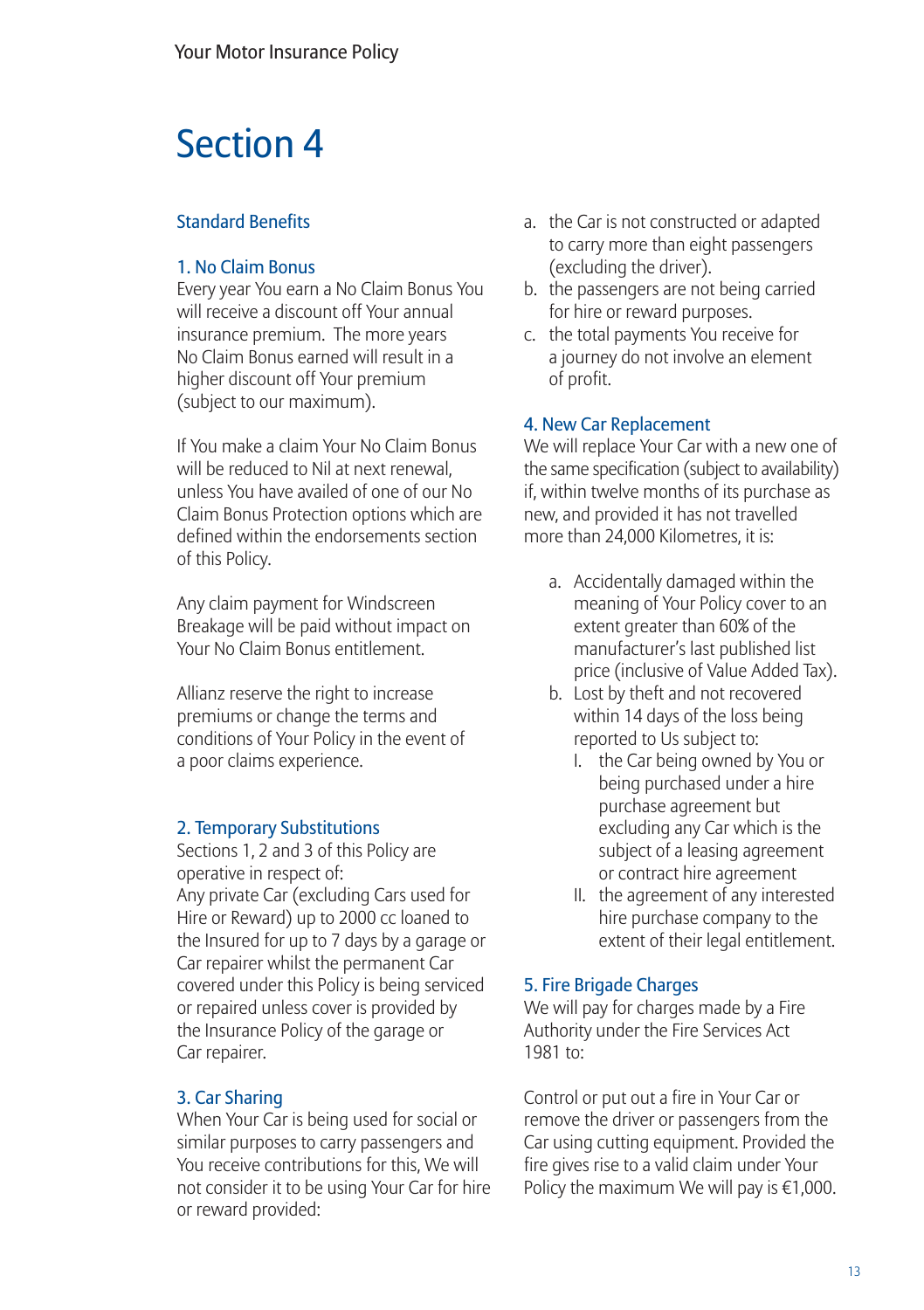## Section 4

#### Standard Benefits

#### 1. No Claim Bonus

Every year You earn a No Claim Bonus You will receive a discount off Your annual insurance premium. The more years No Claim Bonus earned will result in a higher discount off Your premium (subject to our maximum).

If You make a claim Your No Claim Bonus will be reduced to Nil at next renewal unless You have availed of one of our No Claim Bonus Protection options which are defined within the endorsements section of this Policy.

Any claim payment for Windscreen Breakage will be paid without impact on Your No Claim Bonus entitlement.

Allianz reserve the right to increase premiums or change the terms and conditions of Your Policy in the event of a poor claims experience.

#### 2. Temporary Substitutions

Sections 1, 2 and 3 of this Policy are operative in respect of:

Any private Car (excluding Cars used for Hire or Reward) up to 2000 cc loaned to the Insured for up to 7 days by a garage or Car repairer whilst the permanent Car covered under this Policy is being serviced or repaired unless cover is provided by the Insurance Policy of the garage or Car repairer.

#### 3. Car Sharing

When Your Car is being used for social or similar purposes to carry passengers and You receive contributions for this, We will not consider it to be using Your Car for hire or reward provided:

- a. the Car is not constructed or adapted to carry more than eight passengers (excluding the driver).
- b. the passengers are not being carried for hire or reward purposes.
- c. the total payments You receive for a journey do not involve an element of profit.

#### 4. New Car Replacement

We will replace Your Car with a new one of the same specification (subject to availability) if, within twelve months of its purchase as new, and provided it has not travelled more than 24,000 Kilometres, it is:

- a. Accidentally damaged within the meaning of Your Policy cover to an extent greater than 60% of the manufacturer's last published list price (inclusive of Value Added Tax).
- b. Lost by theft and not recovered within 14 days of the loss being reported to Us subject to:
	- I. the Car being owned by You or being purchased under a hire purchase agreement but excluding any Car which is the subject of a leasing agreement or contract hire agreement
	- II. the agreement of any interested hire purchase company to the extent of their legal entitlement.

#### 5. Fire Brigade Charges

We will pay for charges made by a Fire Authority under the Fire Services Act 1981 to:

Control or put out a fire in Your Car or remove the driver or passengers from the Car using cutting equipment. Provided the fire gives rise to a valid claim under Your Policy the maximum We will pay is €1,000.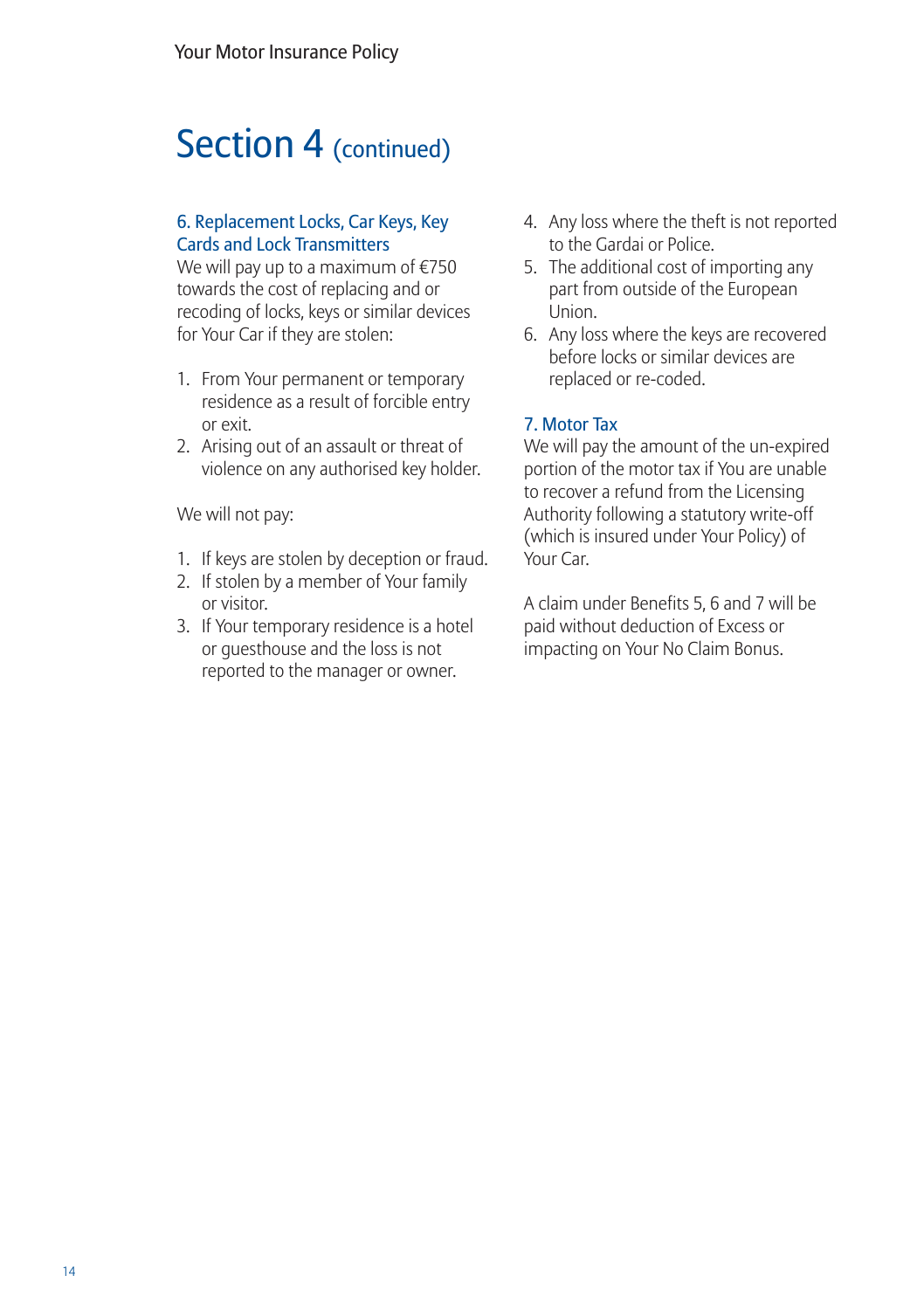### Section 4 (continued)

#### 6. Replacement Locks, Car Keys, Key Cards and Lock Transmitters

We will pay up to a maximum of €750 towards the cost of replacing and or recoding of locks, keys or similar devices for Your Car if they are stolen:

- 1. From Your permanent or temporary residence as a result of forcible entry or exit.
- 2. Arising out of an assault or threat of violence on any authorised key holder.

We will not pay:

- 1. If keys are stolen by deception or fraud.
- 2. If stolen by a member of Your family or visitor.
- 3. If Your temporary residence is a hotel or guesthouse and the loss is not reported to the manager or owner.
- 4. Any loss where the theft is not reported to the Gardai or Police.
- 5. The additional cost of importing any part from outside of the European Union.
- 6. Any loss where the keys are recovered before locks or similar devices are replaced or re-coded.

#### 7. Motor Tax

We will pay the amount of the un-expired portion of the motor tax if You are unable to recover a refund from the Licensing Authority following a statutory write-off (which is insured under Your Policy) of Your Car.

A claim under Benefits 5, 6 and 7 will be paid without deduction of Excess or impacting on Your No Claim Bonus.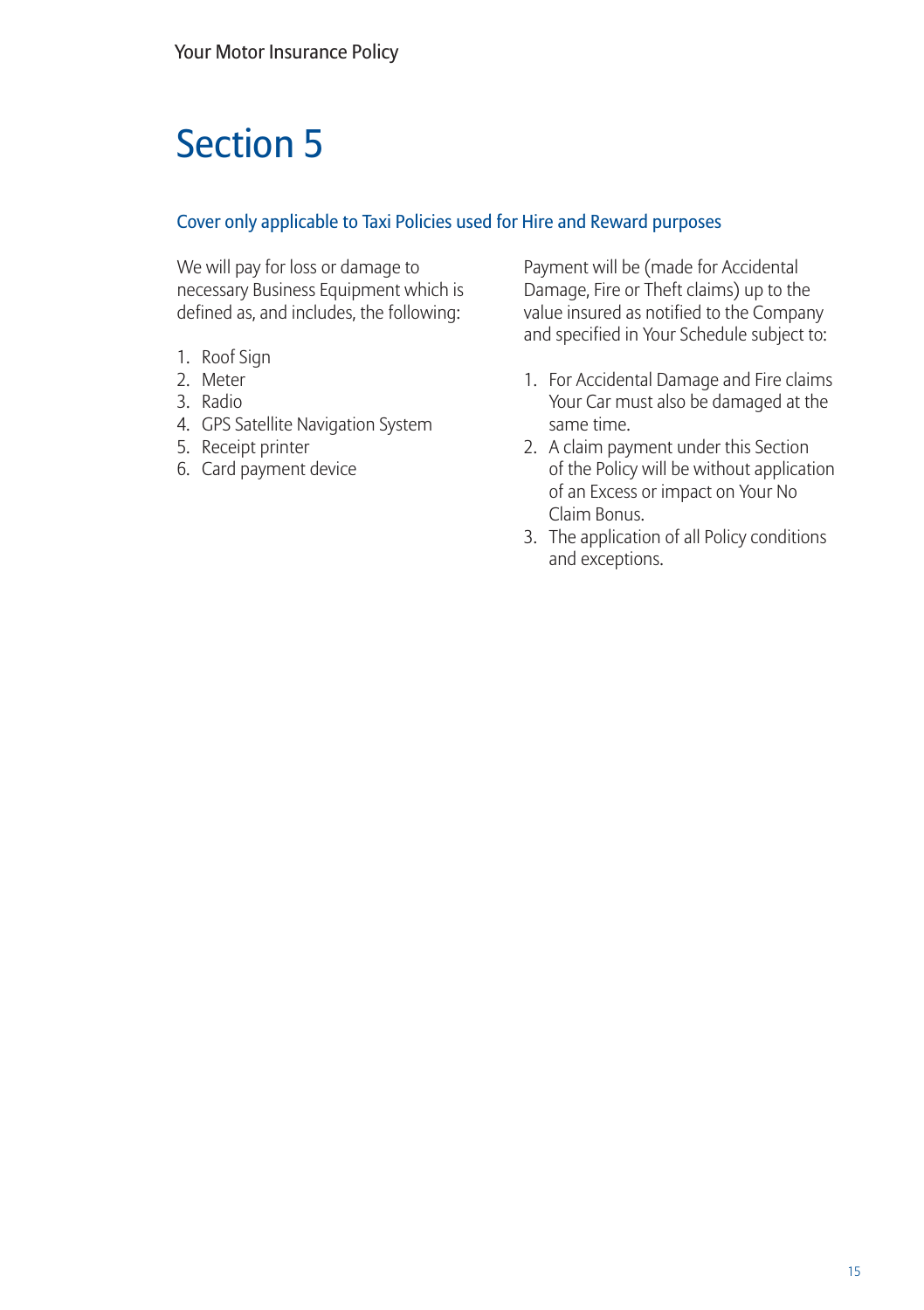## Section 5

#### Cover only applicable to Taxi Policies used for Hire and Reward purposes

We will pay for loss or damage to necessary Business Equipment which is defined as, and includes, the following:

- 1. Roof Sign
- 2. Meter
- 3. Radio
- 4. GPS Satellite Navigation System
- 5. Receipt printer
- 6. Card payment device

Payment will be (made for Accidental Damage, Fire or Theft claims) up to the value insured as notified to the Company and specified in Your Schedule subject to:

- 1. For Accidental Damage and Fire claims Your Car must also be damaged at the same time.
- 2. A claim payment under this Section of the Policy will be without application of an Excess or impact on Your No Claim Bonus.
- 3. The application of all Policy conditions and exceptions.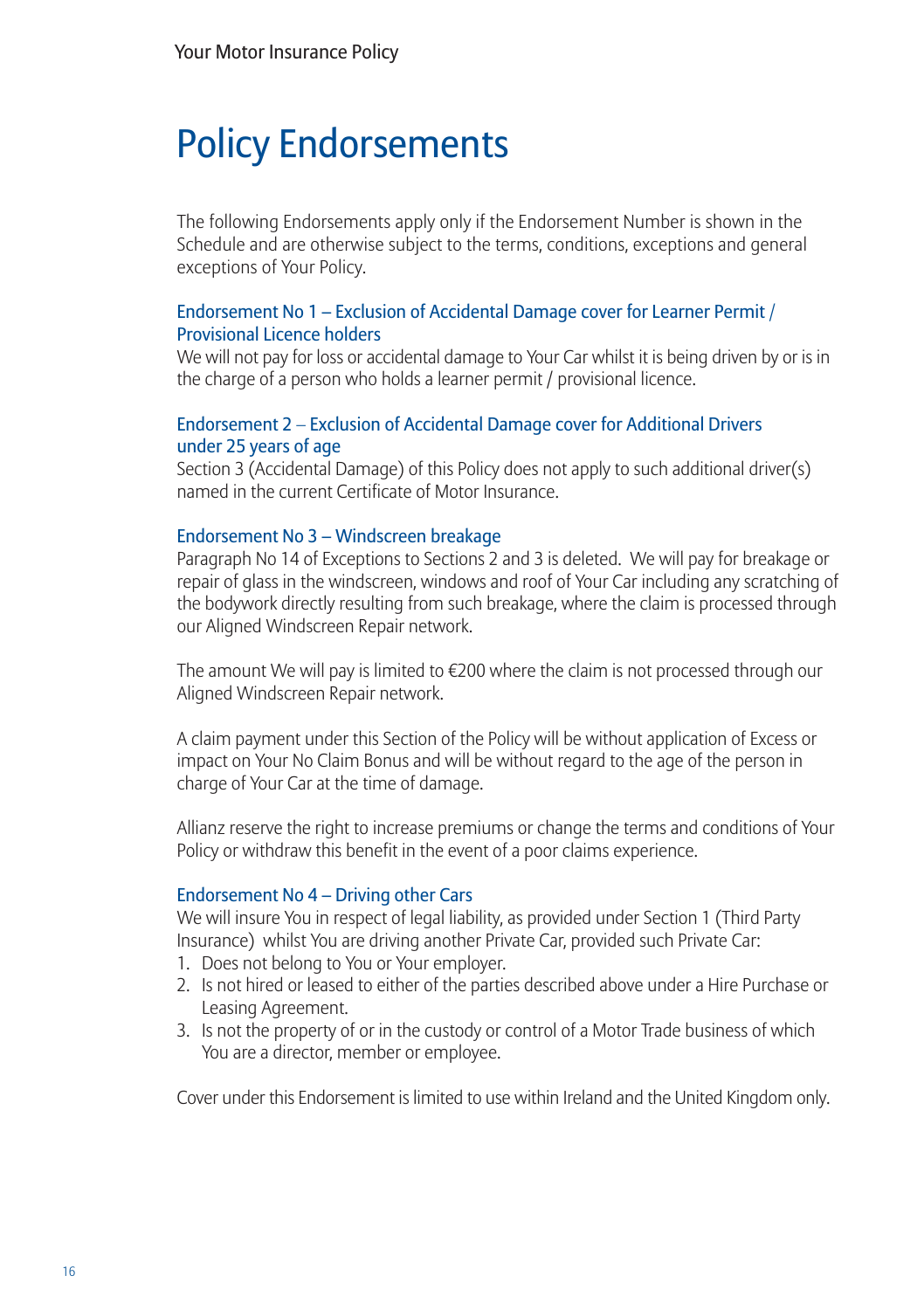## Policy Endorsements

The following Endorsements apply only if the Endorsement Number is shown in the Schedule and are otherwise subject to the terms, conditions, exceptions and general exceptions of Your Policy.

#### Endorsement No 1 – Exclusion of Accidental Damage cover for Learner Permit / Provisional Licence holders

We will not pay for loss or accidental damage to Your Car whilst it is being driven by or is in the charge of a person who holds a learner permit / provisional licence.

#### Endorsement 2 – Exclusion of Accidental Damage cover for Additional Drivers under 25 years of age

Section 3 (Accidental Damage) of this Policy does not apply to such additional driver(s) named in the current Certificate of Motor Insurance.

#### Endorsement No 3 – Windscreen breakage

Paragraph No 14 of Exceptions to Sections 2 and 3 is deleted. We will pay for breakage or repair of glass in the windscreen, windows and roof of Your Car including any scratching of the bodywork directly resulting from such breakage, where the claim is processed through our Aligned Windscreen Repair network.

The amount We will pay is limited to  $\epsilon$ 200 where the claim is not processed through our Aligned Windscreen Repair network.

A claim payment under this Section of the Policy will be without application of Excess or impact on Your No Claim Bonus and will be without regard to the age of the person in charge of Your Car at the time of damage.

Allianz reserve the right to increase premiums or change the terms and conditions of Your Policy or withdraw this benefit in the event of a poor claims experience.

#### Endorsement No 4 – Driving other Cars

We will insure You in respect of legal liability, as provided under Section 1 (Third Party Insurance) whilst You are driving another Private Car, provided such Private Car:

- 1. Does not belong to You or Your employer.
- 2. Is not hired or leased to either of the parties described above under a Hire Purchase or Leasing Agreement.
- 3. Is not the property of or in the custody or control of a Motor Trade business of which You are a director, member or employee.

Cover under this Endorsement is limited to use within Ireland and the United Kingdom only.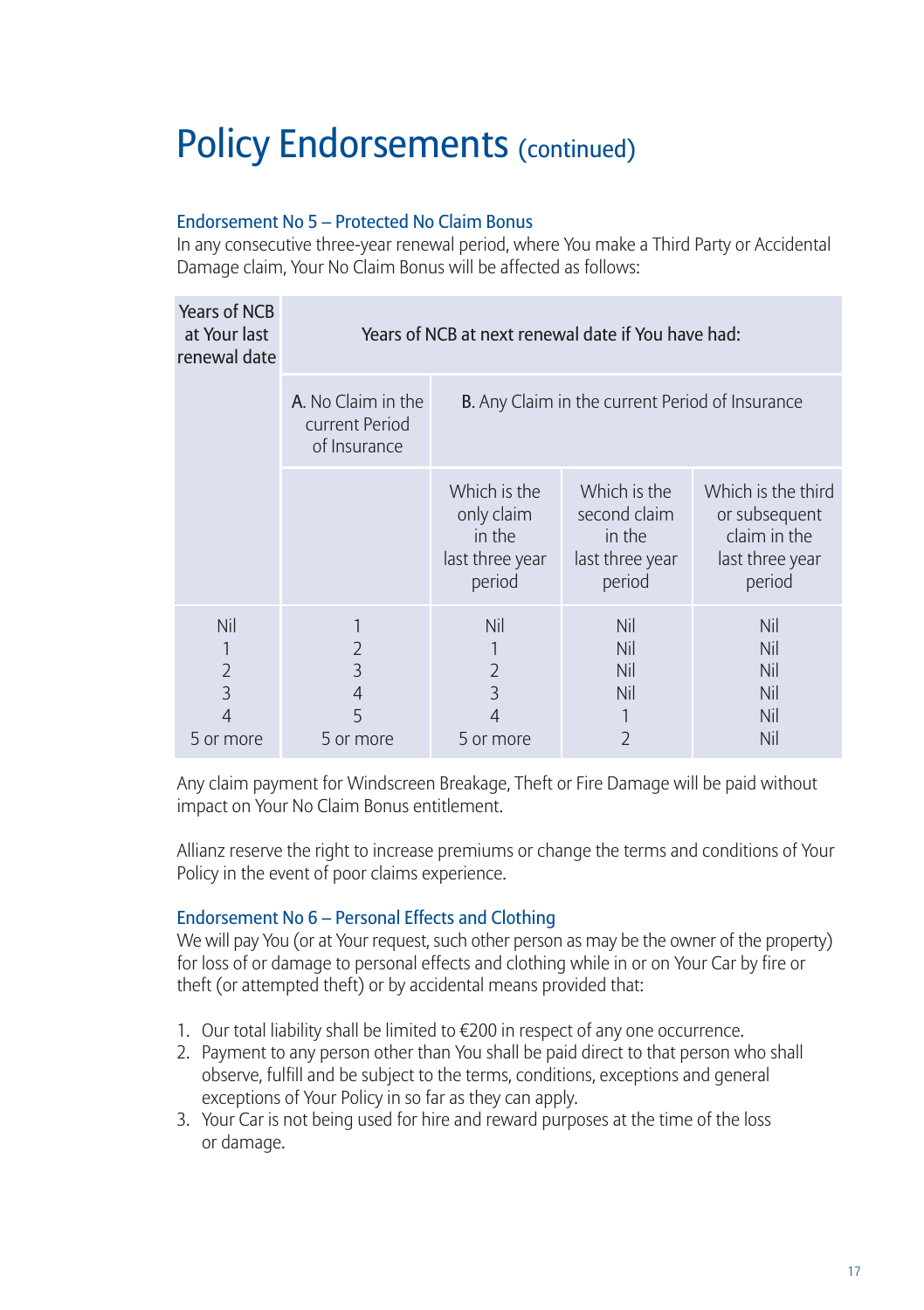#### Endorsement No 5 – Protected No Claim Bonus

In any consecutive three-year renewal period, where You make a Third Party or Accidental Damage claim, Your No Claim Bonus will be affected as follows:

| <b>Years of NCB</b><br>at Your last<br>renewal date | Years of NCB at next renewal date if You have had:   |                                                                   |                                                                     |                                                                                  |
|-----------------------------------------------------|------------------------------------------------------|-------------------------------------------------------------------|---------------------------------------------------------------------|----------------------------------------------------------------------------------|
|                                                     | A. No Claim in the<br>current Period<br>of Insurance | B. Any Claim in the current Period of Insurance                   |                                                                     |                                                                                  |
|                                                     |                                                      | Which is the<br>only claim<br>in the<br>last three year<br>period | Which is the<br>second claim<br>in the<br>last three year<br>period | Which is the third<br>or subsequent<br>claim in the<br>last three year<br>period |
| Nil<br>$\overline{2}$<br>3<br>4<br>5 or more        | $\overline{2}$<br>3<br>4<br>5<br>5 or more           | Nil<br>$\overline{2}$<br>3<br>4<br>5 or more                      | Nil<br>Nil<br>Nil<br>Nil<br>2                                       | Nil<br>Nil<br>Nil<br>Nil<br>Nil<br>Nil                                           |

Any claim payment for Windscreen Breakage, Theft or Fire Damage will be paid without impact on Your No Claim Bonus entitlement.

Allianz reserve the right to increase premiums or change the terms and conditions of Your Policy in the event of poor claims experience.

#### Endorsement No 6 – Personal Effects and Clothing

We will pay You (or at Your request, such other person as may be the owner of the property) for loss of or damage to personal effects and clothing while in or on Your Car by fire or theft (or attempted theft) or by accidental means provided that:

- 1. Our total liability shall be limited to €200 in respect of any one occurrence.
- 2. Payment to any person other than You shall be paid direct to that person who shall observe, fulfill and be subject to the terms, conditions, exceptions and general exceptions of Your Policy in so far as they can apply.
- 3. Your Car is not being used for hire and reward purposes at the time of the loss or damage.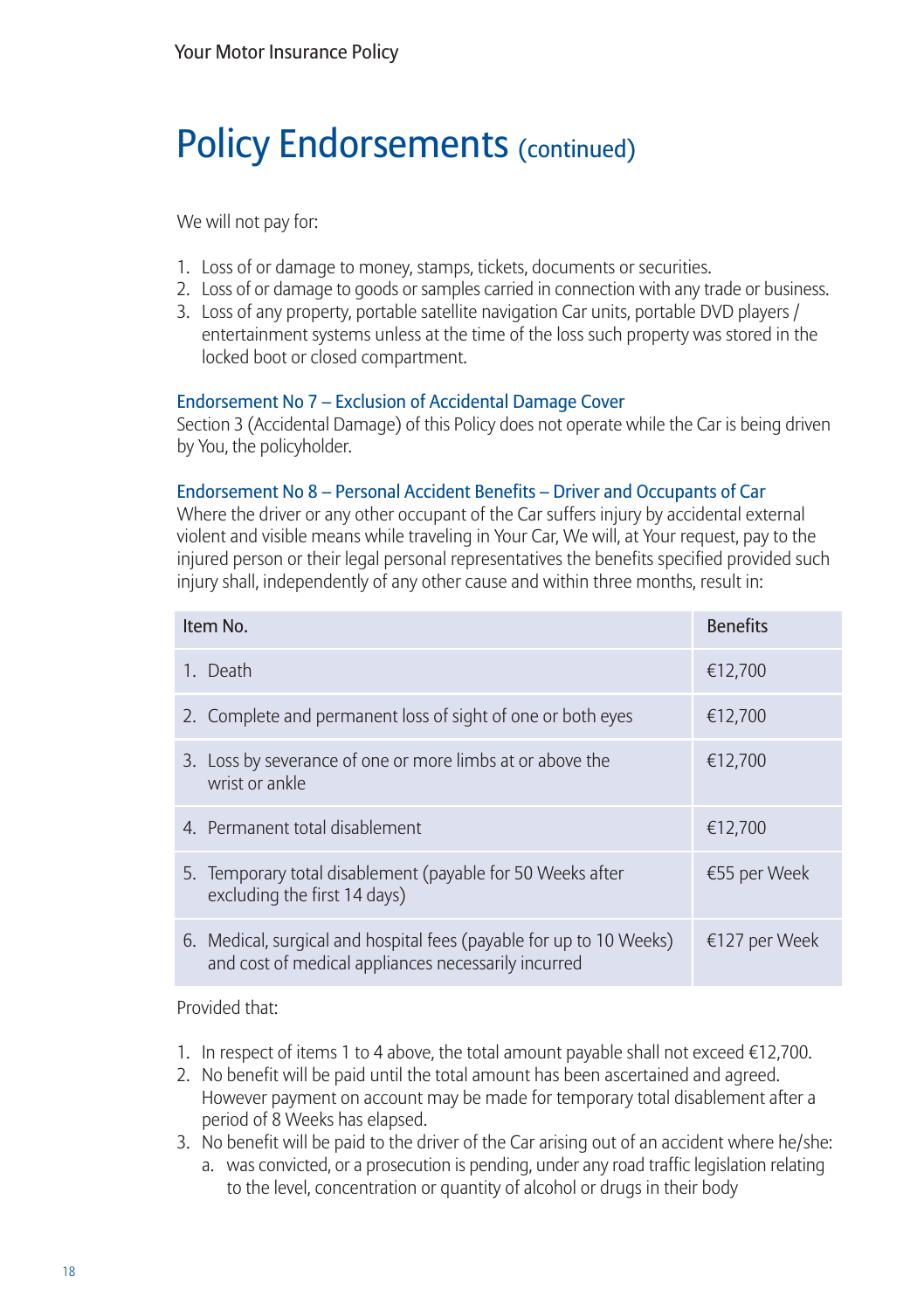We will not pay for:

- 1. Loss of or damage to money, stamps, tickets, documents or securities.
- 2. Loss of or damage to goods or samples carried in connection with any trade or business.
- 3. Loss of any property, portable satellite navigation Car units, portable DVD players / entertainment systems unless at the time of the loss such property was stored in the locked boot or closed compartment.

#### Endorsement No 7 – Exclusion of Accidental Damage Cover

Section 3 (Accidental Damage) of this Policy does not operate while the Car is being driven by You, the policyholder.

#### Endorsement No 8 – Personal Accident Benefits – Driver and Occupants of Car

Where the driver or any other occupant of the Car suffers injury by accidental external violent and visible means while traveling in Your Car, We will, at Your request, pay to the injured person or their legal personal representatives the benefits specified provided such injury shall, independently of any other cause and within three months, result in:

| Item No.                                                                                                                   | <b>Benefits</b> |
|----------------------------------------------------------------------------------------------------------------------------|-----------------|
| 1. Death                                                                                                                   | €12.700         |
| 2. Complete and permanent loss of sight of one or both eyes                                                                | €12,700         |
| 3. Loss by severance of one or more limbs at or above the<br>wrist or ankle                                                | €12.700         |
| 4. Permanent total disablement                                                                                             | €12.700         |
| 5. Temporary total disablement (payable for 50 Weeks after<br>excluding the first 14 days)                                 | €55 per Week    |
| 6. Medical, surgical and hospital fees (payable for up to 10 Weeks)<br>and cost of medical appliances necessarily incurred | €127 per Week   |

Provided that:

- 1. In respect of items 1 to 4 above, the total amount payable shall not exceed €12,700.
- 2. No benefit will be paid until the total amount has been ascertained and agreed. However payment on account may be made for temporary total disablement after a period of 8 Weeks has elapsed.
- 3. No benefit will be paid to the driver of the Car arising out of an accident where he/she: a. was convicted, or a prosecution is pending, under any road traffic legislation relating to the level, concentration or quantity of alcohol or drugs in their body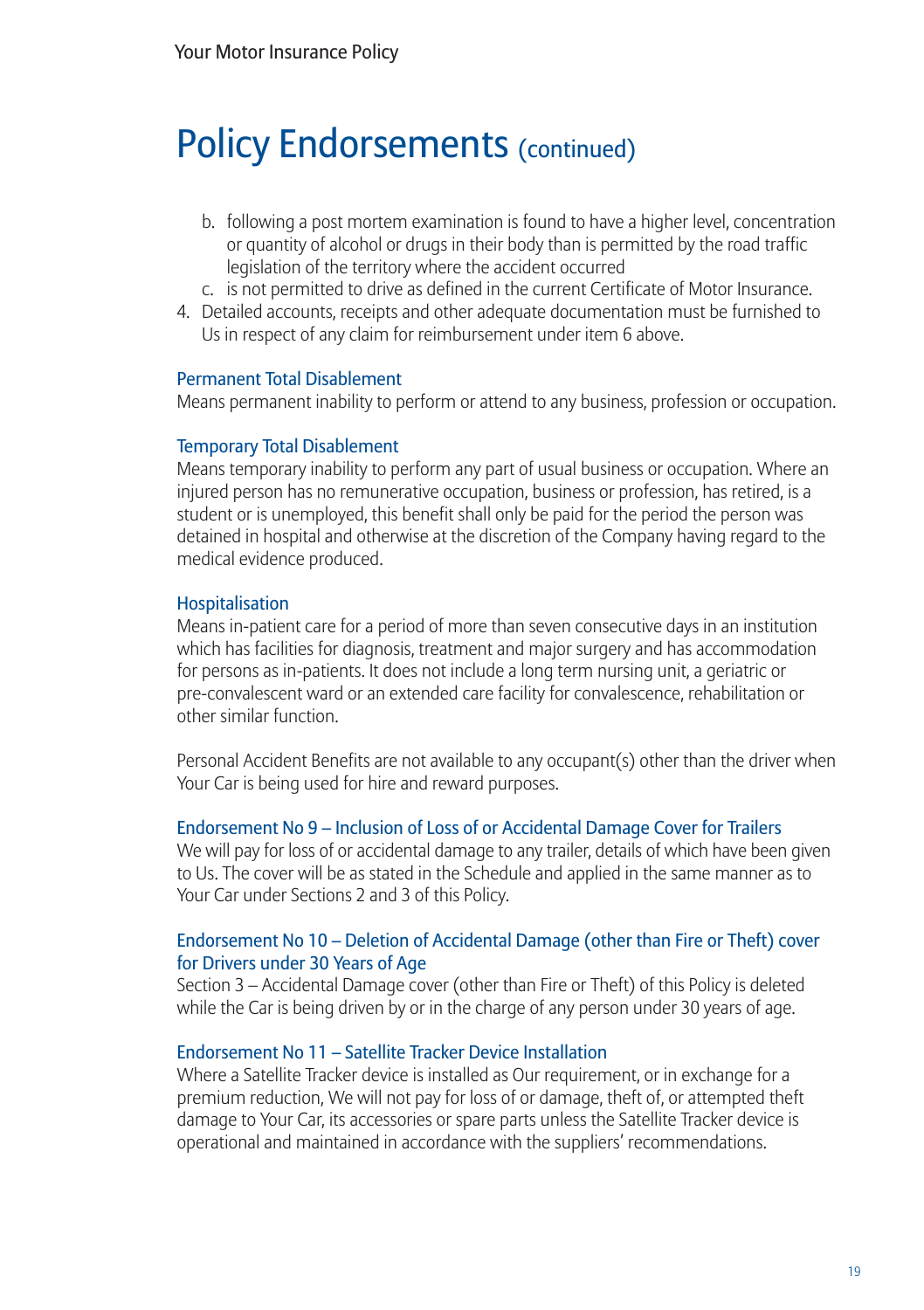- b. following a post mortem examination is found to have a higher level, concentration or quantity of alcohol or drugs in their body than is permitted by the road traffic legislation of the territory where the accident occurred
- c. is not permitted to drive as defined in the current Certificate of Motor Insurance.
- 4. Detailed accounts, receipts and other adequate documentation must be furnished to Us in respect of any claim for reimbursement under item 6 above.

#### Permanent Total Disablement

Means permanent inability to perform or attend to any business, profession or occupation.

#### Temporary Total Disablement

Means temporary inability to perform any part of usual business or occupation. Where an injured person has no remunerative occupation, business or profession, has retired, is a student or is unemployed, this benefit shall only be paid for the period the person was detained in hospital and otherwise at the discretion of the Company having regard to the medical evidence produced.

#### Hospitalisation

Means in-patient care for a period of more than seven consecutive days in an institution which has facilities for diagnosis, treatment and major surgery and has accommodation for persons as in-patients. It does not include a long term nursing unit, a geriatric or pre-convalescent ward or an extended care facility for convalescence, rehabilitation or other similar function.

Personal Accident Benefits are not available to any occupant(s) other than the driver when Your Car is being used for hire and reward purposes.

#### Endorsement No 9 – Inclusion of Loss of or Accidental Damage Cover for Trailers

We will pay for loss of or accidental damage to any trailer, details of which have been given to Us. The cover will be as stated in the Schedule and applied in the same manner as to Your Car under Sections 2 and 3 of this Policy.

#### Endorsement No 10 – Deletion of Accidental Damage (other than Fire or Theft) cover for Drivers under 30 Years of Age

Section 3 – Accidental Damage cover (other than Fire or Theft) of this Policy is deleted while the Car is being driven by or in the charge of any person under 30 years of age.

#### Endorsement No 11 – Satellite Tracker Device Installation

Where a Satellite Tracker device is installed as Our requirement, or in exchange for a premium reduction, We will not pay for loss of or damage, theft of, or attempted theft damage to Your Car, its accessories or spare parts unless the Satellite Tracker device is operational and maintained in accordance with the suppliers' recommendations.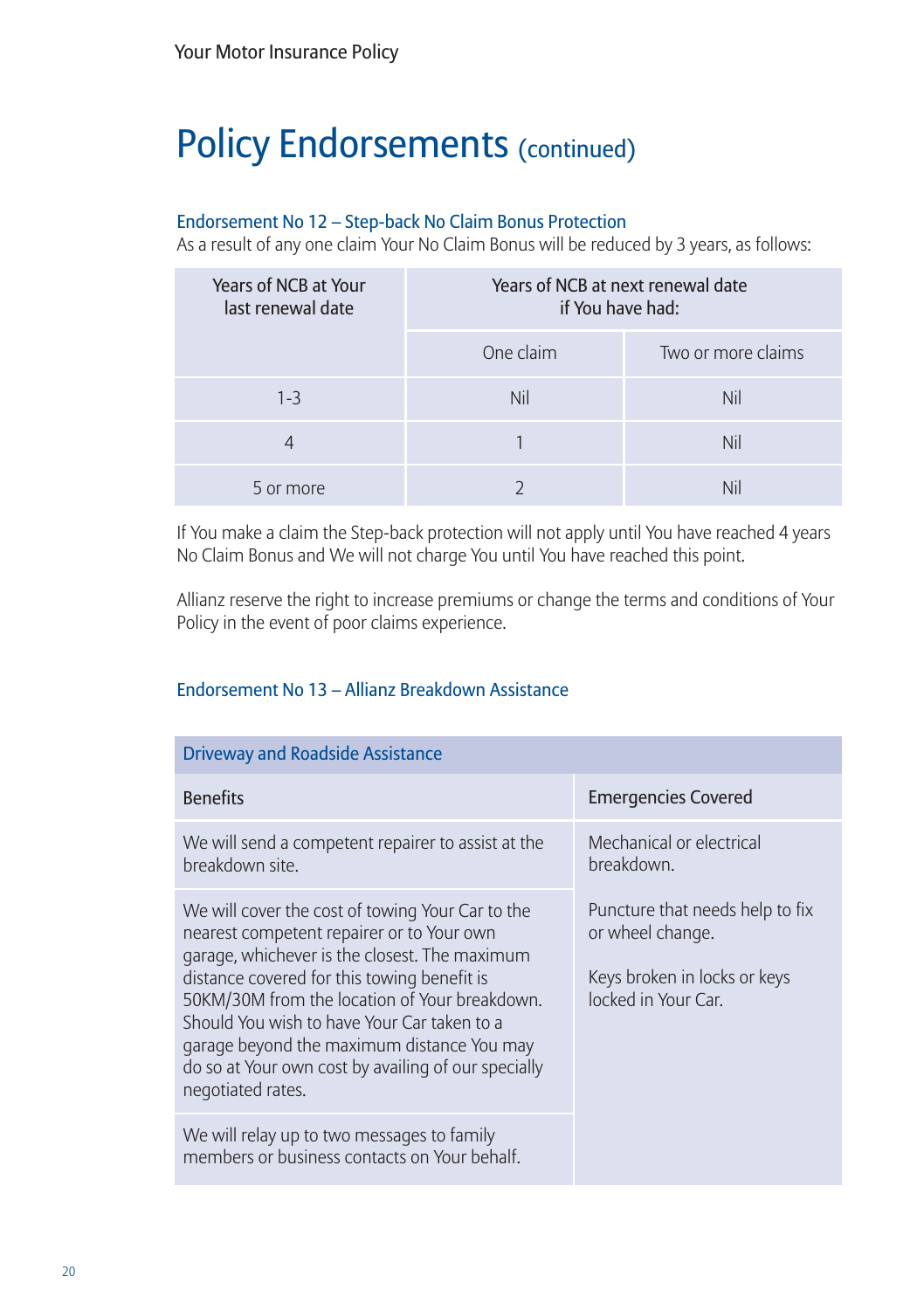#### Endorsement No 12 – Step-back No Claim Bonus Protection

As a result of any one claim Your No Claim Bonus will be reduced by 3 years, as follows:

| Years of NCB at Your<br>last renewal date | Years of NCB at next renewal date<br>if You have had: |                    |
|-------------------------------------------|-------------------------------------------------------|--------------------|
|                                           | One claim                                             | Two or more claims |
| $1 - 3$                                   | Nil                                                   | Nil                |
|                                           |                                                       | Nil                |
| 5 or more                                 |                                                       |                    |

If You make a claim the Step-back protection will not apply until You have reached 4 years No Claim Bonus and We will not charge You until You have reached this point.

Allianz reserve the right to increase premiums or change the terms and conditions of Your Policy in the event of poor claims experience.

#### Endorsement No 13 – Allianz Breakdown Assistance

| <b>Driveway and Roadside Assistance</b>                                                                                                                                                                                                                                                                                                                                                                                 |                                                                                                            |
|-------------------------------------------------------------------------------------------------------------------------------------------------------------------------------------------------------------------------------------------------------------------------------------------------------------------------------------------------------------------------------------------------------------------------|------------------------------------------------------------------------------------------------------------|
| <b>Benefits</b>                                                                                                                                                                                                                                                                                                                                                                                                         | <b>Emergencies Covered</b>                                                                                 |
| We will send a competent repairer to assist at the<br>breakdown site.                                                                                                                                                                                                                                                                                                                                                   | Mechanical or electrical<br>breakdown.                                                                     |
| We will cover the cost of towing Your Car to the<br>nearest competent repairer or to Your own<br>garage, whichever is the closest. The maximum<br>distance covered for this towing benefit is<br>50KM/30M from the location of Your breakdown.<br>Should You wish to have Your Car taken to a<br>garage beyond the maximum distance You may<br>do so at Your own cost by availing of our specially<br>negotiated rates. | Puncture that needs help to fix<br>or wheel change.<br>Keys broken in locks or keys<br>locked in Your Car. |
| We will relay up to two messages to family<br>members or business contacts on Your behalf.                                                                                                                                                                                                                                                                                                                              |                                                                                                            |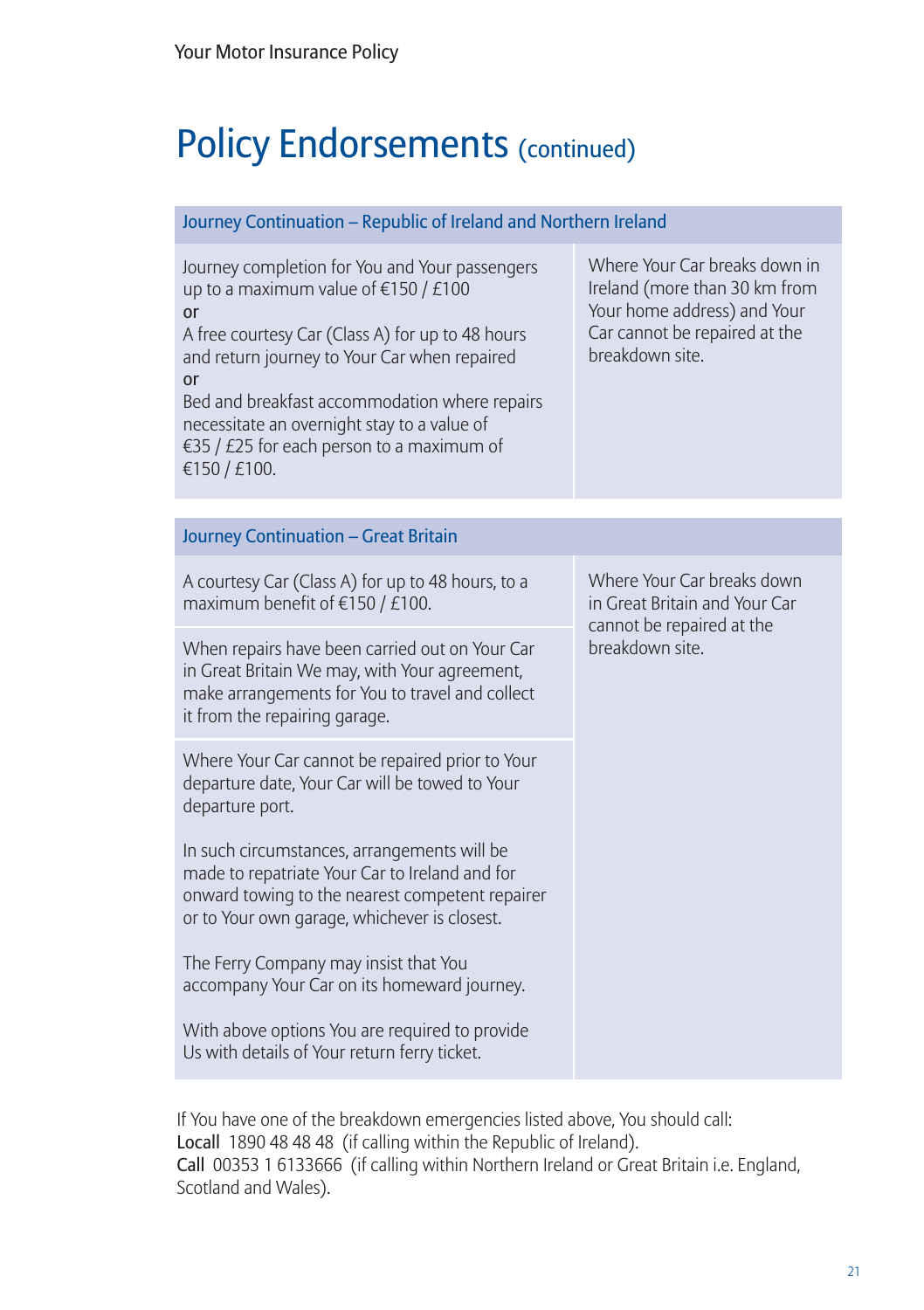| Journey Continuation - Republic of Ireland and Northern Ireland                                                                                                                                                                                                                                                                                                             |                                                                                                                                                   |  |
|-----------------------------------------------------------------------------------------------------------------------------------------------------------------------------------------------------------------------------------------------------------------------------------------------------------------------------------------------------------------------------|---------------------------------------------------------------------------------------------------------------------------------------------------|--|
| Journey completion for You and Your passengers<br>up to a maximum value of $\epsilon$ 150 / £100<br>or<br>A free courtesy Car (Class A) for up to 48 hours<br>and return journey to Your Car when repaired<br>or<br>Bed and breakfast accommodation where repairs<br>necessitate an overnight stay to a value of<br>€35 / £25 for each person to a maximum of<br>€150/£100. | Where Your Car breaks down in<br>Ireland (more than 30 km from<br>Your home address) and Your<br>Car cannot be repaired at the<br>breakdown site. |  |
| <b>Journey Continuation - Great Britain</b>                                                                                                                                                                                                                                                                                                                                 |                                                                                                                                                   |  |
| A courtesy Car (Class A) for up to 48 hours, to a<br>maximum benefit of $£150 / £100$ .                                                                                                                                                                                                                                                                                     | Where Your Car breaks down<br>in Great Britain and Your Car<br>cannot be repaired at the<br>breakdown site.                                       |  |
| When repairs have been carried out on Your Car<br>in Great Britain We may, with Your agreement,<br>make arrangements for You to travel and collect<br>it from the repairing garage.                                                                                                                                                                                         |                                                                                                                                                   |  |
| Where Your Car cannot be repaired prior to Your<br>departure date, Your Car will be towed to Your<br>departure port.                                                                                                                                                                                                                                                        |                                                                                                                                                   |  |
| In such circumstances, arrangements will be<br>made to repatriate Your Car to Ireland and for<br>onward towing to the nearest competent repairer<br>or to Your own garage, whichever is closest.                                                                                                                                                                            |                                                                                                                                                   |  |
| The Ferry Company may insist that You<br>accompany Your Car on its homeward journey.                                                                                                                                                                                                                                                                                        |                                                                                                                                                   |  |
| With above options You are required to provide<br>Us with details of Your return ferry ticket.                                                                                                                                                                                                                                                                              |                                                                                                                                                   |  |

If You have one of the breakdown emergencies listed above, You should call: Locall 1890 48 48 48 (if calling within the Republic of Ireland). Call 00353 1 6133666 (if calling within Northern Ireland or Great Britain i.e. England, Scotland and Wales).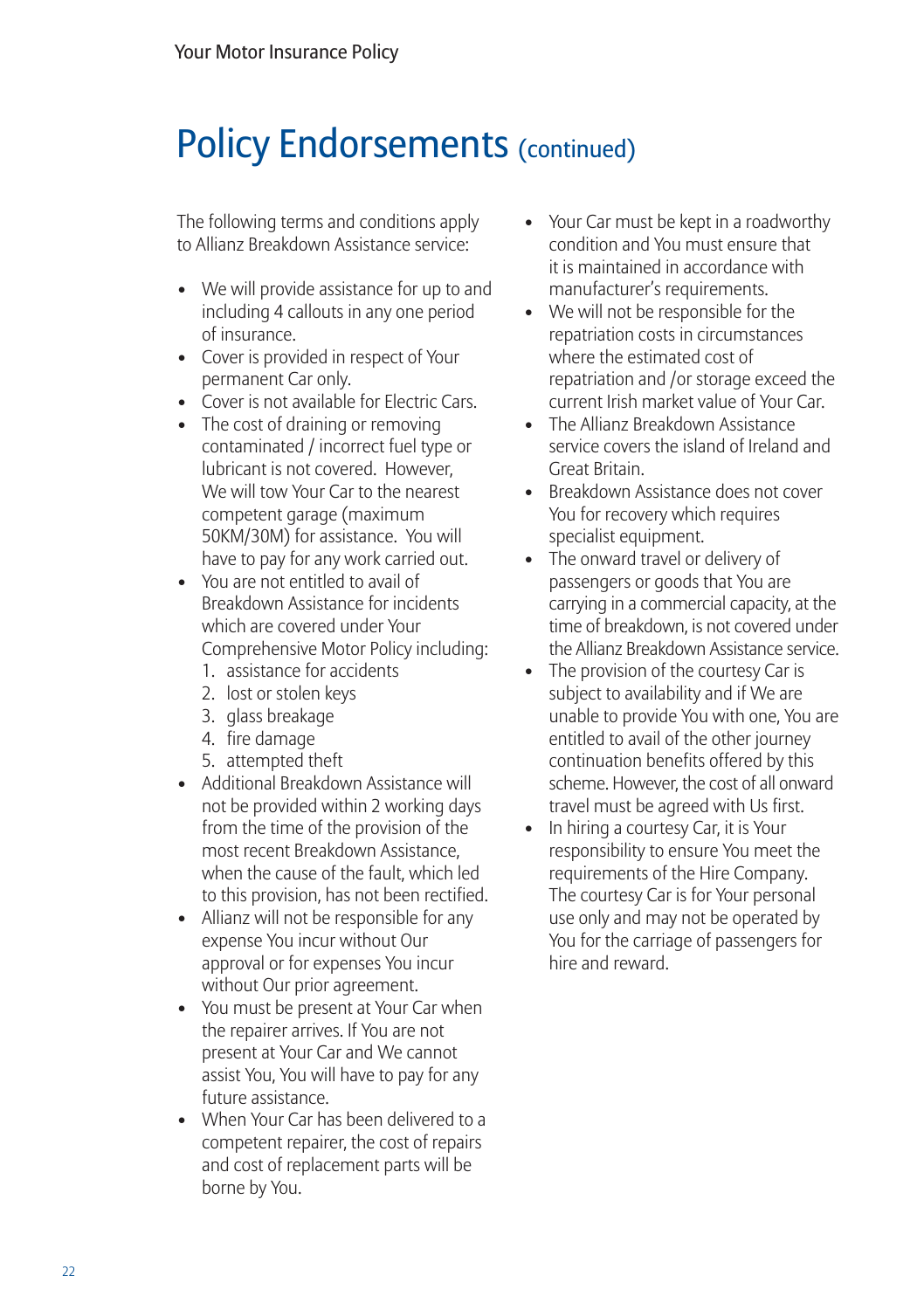The following terms and conditions apply to Allianz Breakdown Assistance service:

- We will provide assistance for up to and including 4 callouts in any one period of insurance.
- Cover is provided in respect of Your permanent Car only.
- Cover is not available for Electric Cars.
- The cost of draining or removing contaminated / incorrect fuel type or lubricant is not covered. However, We will tow Your Car to the nearest competent garage (maximum 50KM/30M) for assistance. You will have to pay for any work carried out.
- You are not entitled to avail of Breakdown Assistance for incidents which are covered under Your Comprehensive Motor Policy including:
	- 1. assistance for accidents
	- 2. lost or stolen keys
	- 3. glass breakage
	- 4. fire damage
	- 5. attempted theft
- Additional Breakdown Assistance will not be provided within 2 working days from the time of the provision of the most recent Breakdown Assistance, when the cause of the fault, which led to this provision, has not been rectified.
- Allianz will not be responsible for any expense You incur without Our approval or for expenses You incur without Our prior agreement.
- You must be present at Your Car when the repairer arrives. If You are not present at Your Car and We cannot assist You, You will have to pay for any future assistance.
- When Your Car has been delivered to a competent repairer, the cost of repairs and cost of replacement parts will be borne by You.
- Your Car must be kept in a roadworthy condition and You must ensure that it is maintained in accordance with manufacturer's requirements.
- We will not be responsible for the repatriation costs in circumstances where the estimated cost of repatriation and /or storage exceed the current Irish market value of Your Car.
- The Allianz Breakdown Assistance service covers the island of Ireland and Great Britain.
- Breakdown Assistance does not cover You for recovery which requires specialist equipment.
- The onward travel or delivery of passengers or goods that You are carrying in a commercial capacity, at the time of breakdown, is not covered under the Allianz Breakdown Assistance service.
- The provision of the courtesy Car is subject to availability and if We are unable to provide You with one, You are entitled to avail of the other journey continuation benefits offered by this scheme. However, the cost of all onward travel must be agreed with Us first.
- In hiring a courtesy Car, it is Your responsibility to ensure You meet the requirements of the Hire Company. The courtesy Car is for Your personal use only and may not be operated by You for the carriage of passengers for hire and reward.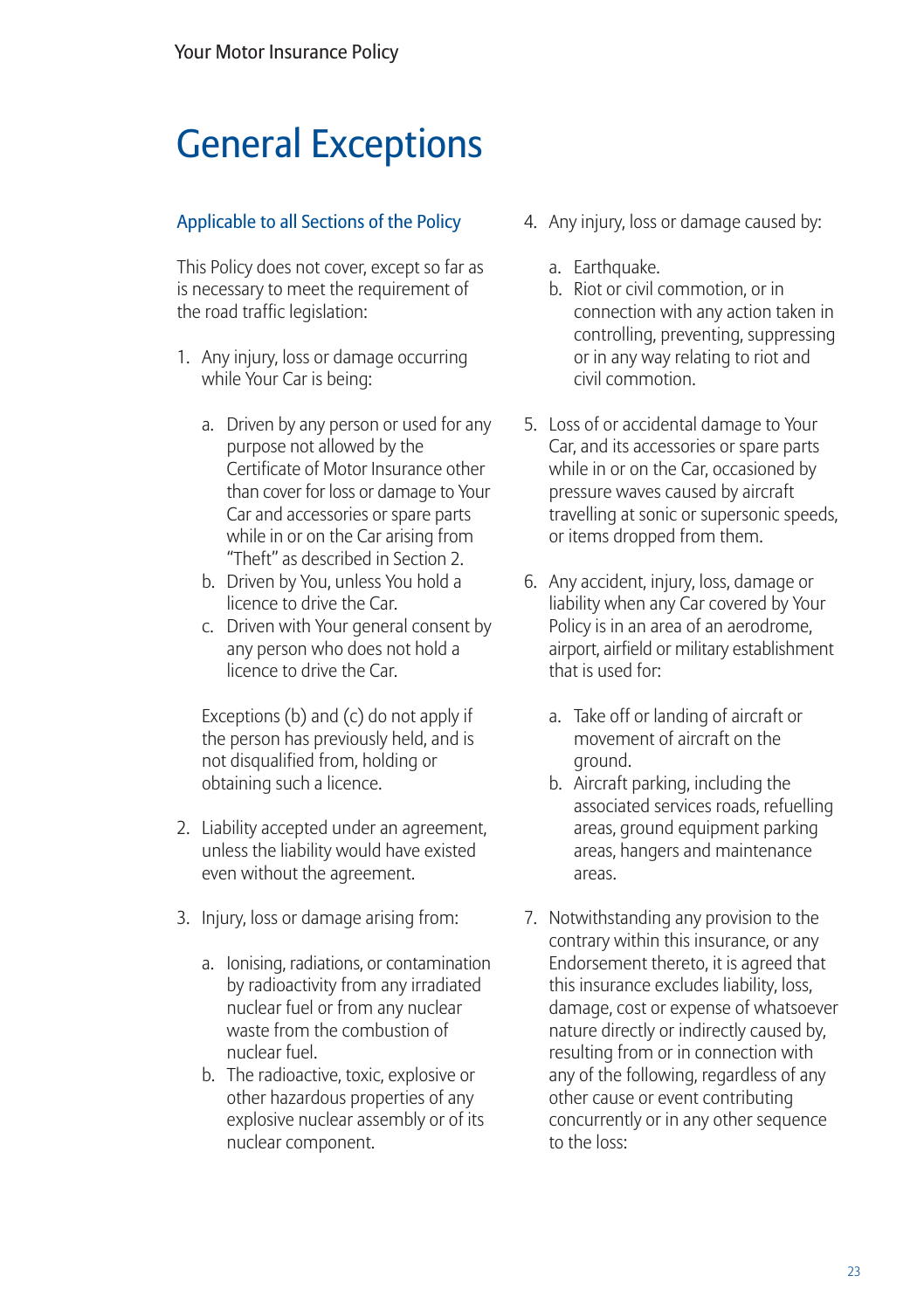## General Exceptions

#### Applicable to all Sections of the Policy

This Policy does not cover, except so far as is necessary to meet the requirement of the road traffic legislation:

- 1. Any injury, loss or damage occurring while Your Car is being:
	- a. Driven by any person or used for any purpose not allowed by the Certificate of Motor Insurance other than cover for loss or damage to Your Car and accessories or spare parts while in or on the Car arising from "Theft" as described in Section 2.
	- b. Driven by You, unless You hold a licence to drive the Car.
	- c. Driven with Your general consent by any person who does not hold a licence to drive the Car.

Exceptions (b) and (c) do not apply if the person has previously held, and is not disqualified from, holding or obtaining such a licence.

- 2. Liability accepted under an agreement, unless the liability would have existed even without the agreement.
- 3. Injury, loss or damage arising from:
	- a. Ionising, radiations, or contamination by radioactivity from any irradiated nuclear fuel or from any nuclear waste from the combustion of nuclear fuel.
	- b. The radioactive, toxic, explosive or other hazardous properties of any explosive nuclear assembly or of its nuclear component.
- 4. Any injury, loss or damage caused by:
	- a. Earthquake.
	- b. Riot or civil commotion, or in connection with any action taken in controlling, preventing, suppressing or in any way relating to riot and civil commotion.
- 5. Loss of or accidental damage to Your Car, and its accessories or spare parts while in or on the Car, occasioned by pressure waves caused by aircraft travelling at sonic or supersonic speeds, or items dropped from them.
- 6. Any accident, injury, loss, damage or liability when any Car covered by Your Policy is in an area of an aerodrome, airport, airfield or military establishment that is used for:
	- a. Take off or landing of aircraft or movement of aircraft on the ground.
	- b. Aircraft parking, including the associated services roads, refuelling areas, ground equipment parking areas, hangers and maintenance areas.
- 7. Notwithstanding any provision to the contrary within this insurance, or any Endorsement thereto, it is agreed that this insurance excludes liability, loss, damage, cost or expense of whatsoever nature directly or indirectly caused by, resulting from or in connection with any of the following, regardless of any other cause or event contributing concurrently or in any other sequence to the loss: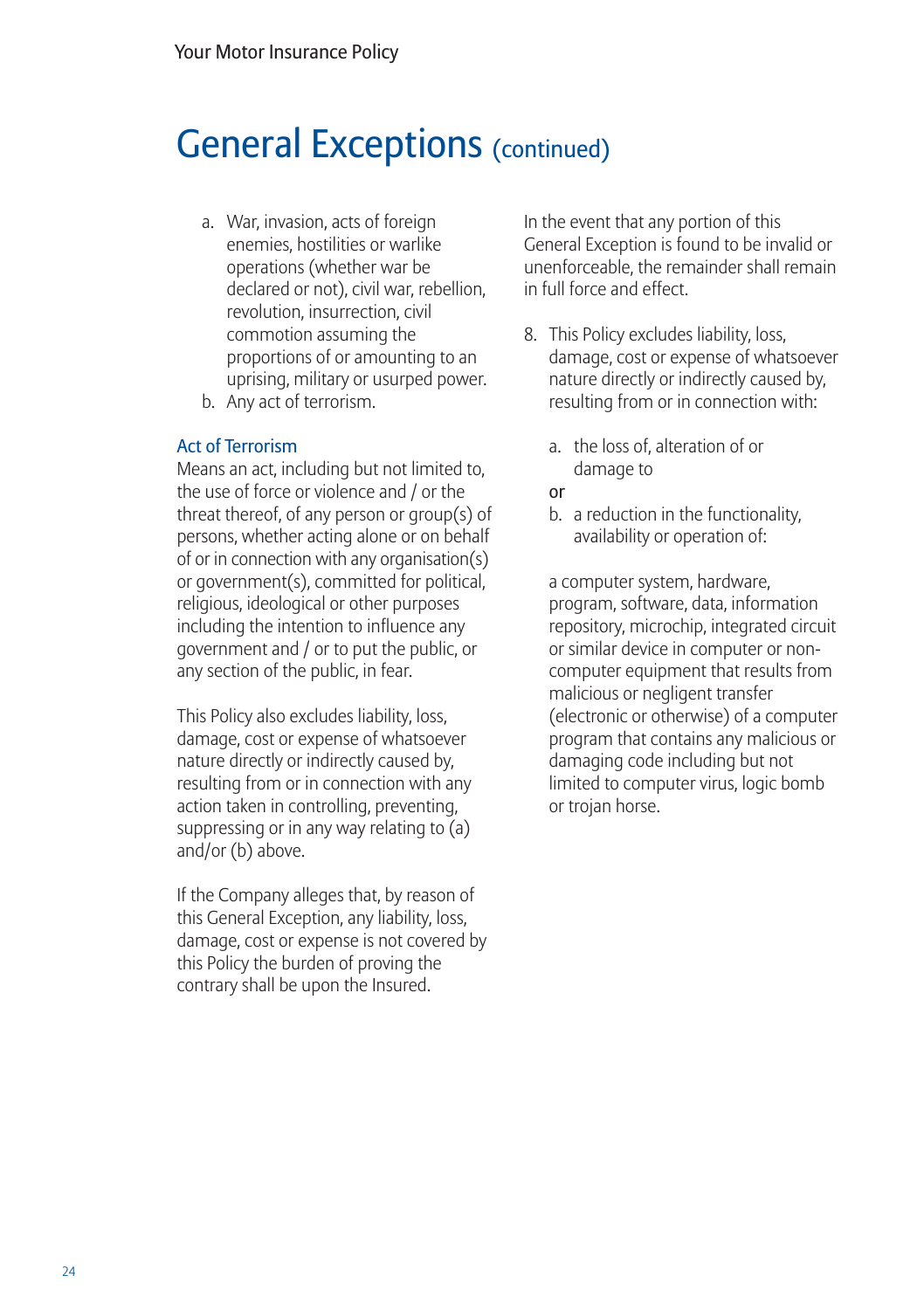### General Exceptions (continued)

- a. War, invasion, acts of foreign enemies, hostilities or warlike operations (whether war be declared or not), civil war, rebellion, revolution, insurrection, civil commotion assuming the proportions of or amounting to an uprising, military or usurped power.
- b. Any act of terrorism.

#### Act of Terrorism

Means an act, including but not limited to, the use of force or violence and / or the threat thereof, of any person or group(s) of persons, whether acting alone or on behalf of or in connection with any organisation(s) or government(s), committed for political, religious, ideological or other purposes including the intention to influence any government and / or to put the public, or any section of the public, in fear.

This Policy also excludes liability, loss, damage, cost or expense of whatsoever nature directly or indirectly caused by, resulting from or in connection with any action taken in controlling, preventing, suppressing or in any way relating to (a) and/or (b) above.

If the Company alleges that, by reason of this General Exception, any liability, loss, damage, cost or expense is not covered by this Policy the burden of proving the contrary shall be upon the Insured.

In the event that any portion of this General Exception is found to be invalid or unenforceable, the remainder shall remain in full force and effect.

- 8. This Policy excludes liability, loss, damage, cost or expense of whatsoever nature directly or indirectly caused by, resulting from or in connection with:
	- a. the loss of, alteration of or damage to
	- or
	- b. a reduction in the functionality, availability or operation of:

a computer system, hardware, program, software, data, information repository, microchip, integrated circuit or similar device in computer or noncomputer equipment that results from malicious or negligent transfer (electronic or otherwise) of a computer program that contains any malicious or damaging code including but not limited to computer virus, logic bomb or trojan horse.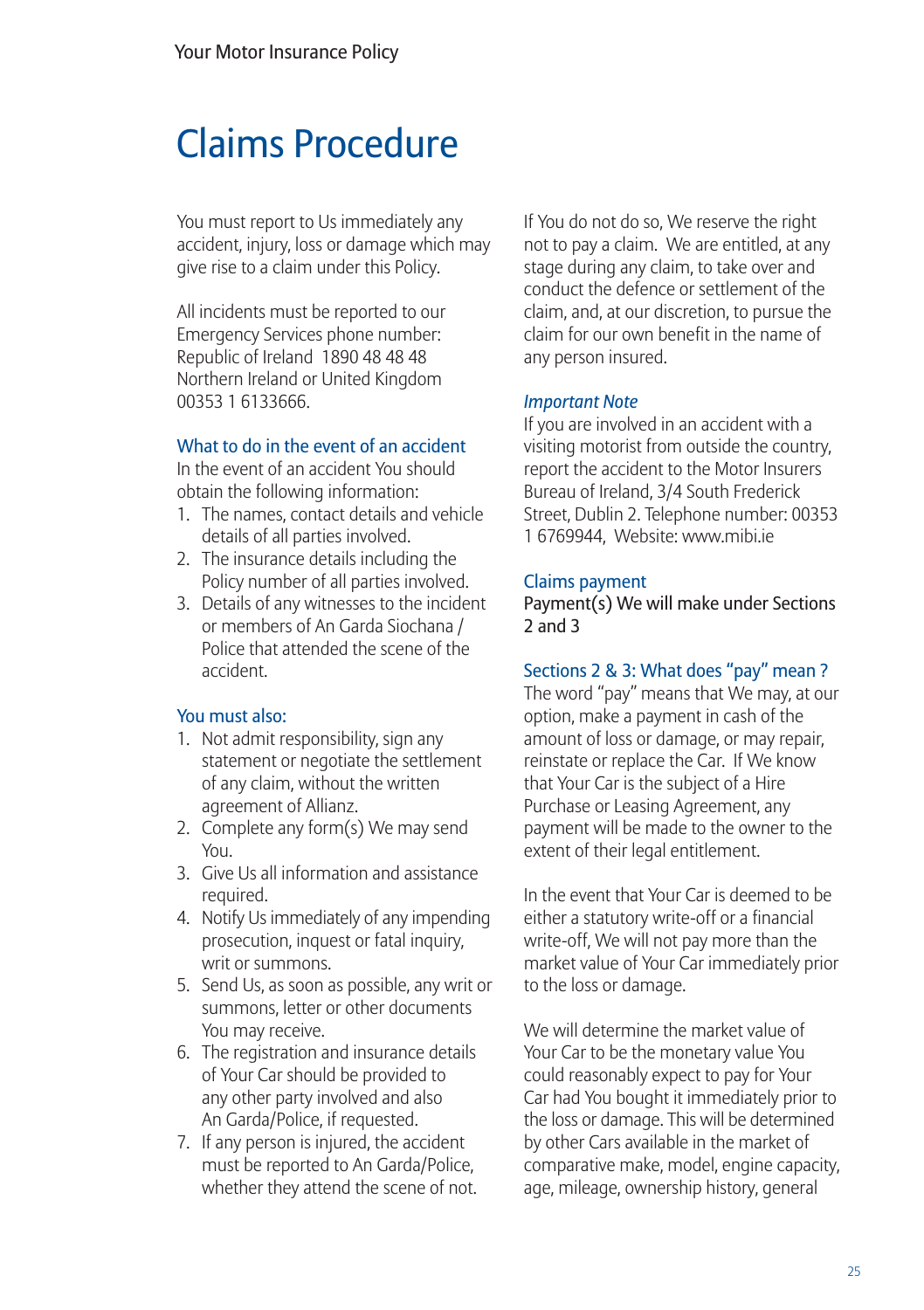### Claims Procedure

You must report to Us immediately any accident, injury, loss or damage which may give rise to a claim under this Policy.

All incidents must be reported to our Emergency Services phone number: Republic of Ireland 1890 48 48 48 Northern Ireland or United Kingdom 00353 1 6133666.

#### What to do in the event of an accident

In the event of an accident You should obtain the following information:

- 1. The names, contact details and vehicle details of all parties involved.
- 2. The insurance details including the Policy number of all parties involved.
- 3. Details of any witnesses to the incident or members of An Garda Siochana / Police that attended the scene of the accident.

#### You must also:

- 1. Not admit responsibility, sign any statement or negotiate the settlement of any claim, without the written agreement of Allianz.
- 2. Complete any form(s) We may send You.
- 3. Give Us all information and assistance required.
- 4. Notify Us immediately of any impending prosecution, inquest or fatal inquiry, writ or summons.
- 5. Send Us, as soon as possible, any writ or summons, letter or other documents You may receive.
- 6. The registration and insurance details of Your Car should be provided to any other party involved and also An Garda/Police, if requested.
- 7. If any person is injured, the accident must be reported to An Garda/Police, whether they attend the scene of not.

If You do not do so, We reserve the right not to pay a claim. We are entitled, at any stage during any claim, to take over and conduct the defence or settlement of the claim, and, at our discretion, to pursue the claim for our own benefit in the name of any person insured.

#### *Important Note*

If you are involved in an accident with a visiting motorist from outside the country, report the accident to the Motor Insurers Bureau of Ireland, 3/4 South Frederick Street, Dublin 2. Telephone number: 00353 1 6769944, Website: www.mibi.ie

#### Claims payment

Payment(s) We will make under Sections 2 and 3

#### Sections 2 & 3: What does "pay" mean ?

The word "pay" means that We may, at our option, make a payment in cash of the amount of loss or damage, or may repair, reinstate or replace the Car. If We know that Your Car is the subject of a Hire Purchase or Leasing Agreement, any payment will be made to the owner to the extent of their legal entitlement.

In the event that Your Car is deemed to be either a statutory write-off or a financial write-off, We will not pay more than the market value of Your Car immediately prior to the loss or damage.

We will determine the market value of Your Car to be the monetary value You could reasonably expect to pay for Your Car had You bought it immediately prior to the loss or damage. This will be determined by other Cars available in the market of comparative make, model, engine capacity, age, mileage, ownership history, general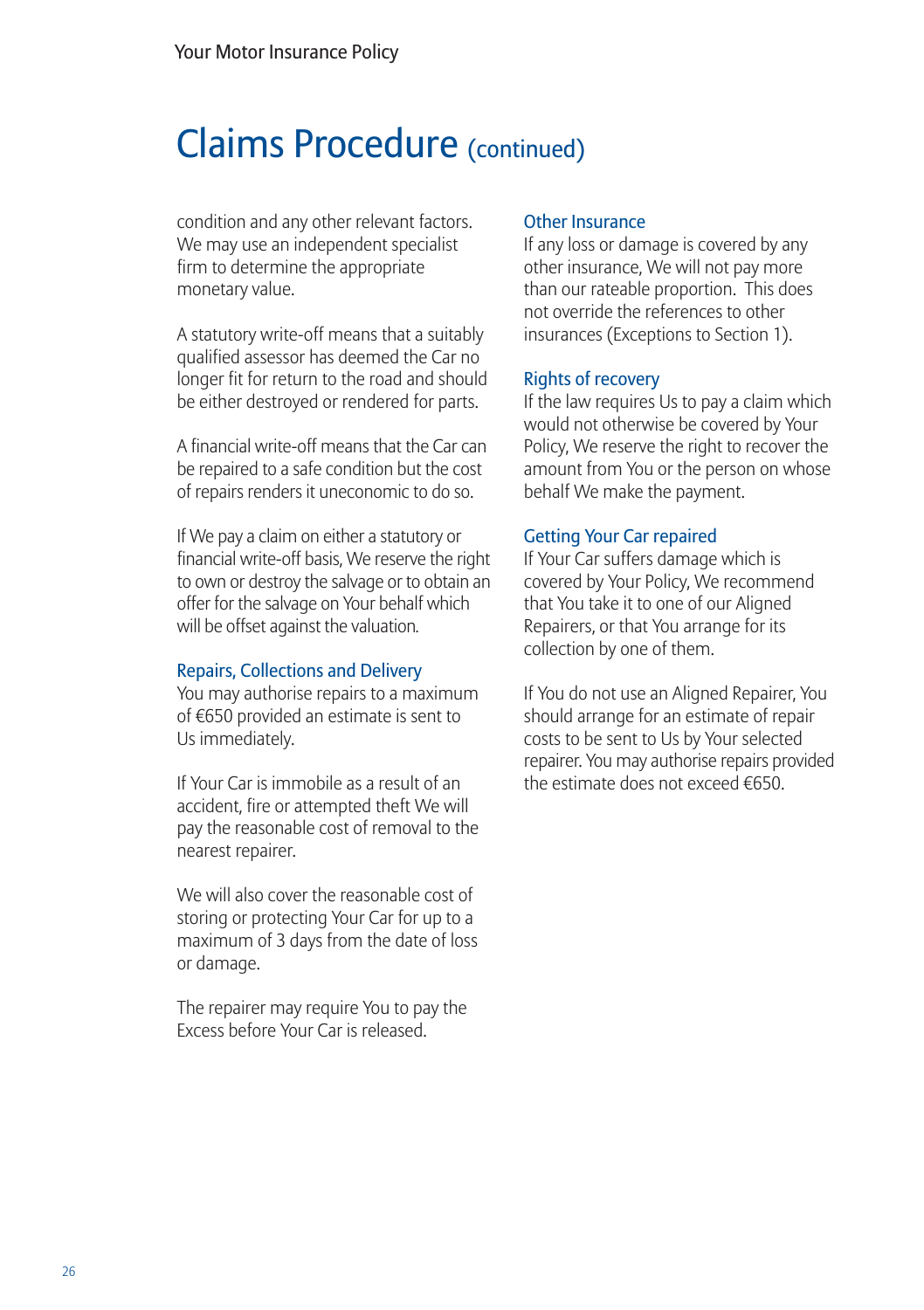### Claims Procedure (continued)

condition and any other relevant factors. We may use an independent specialist firm to determine the appropriate monetary value.

A statutory write-off means that a suitably qualified assessor has deemed the Car no longer fit for return to the road and should be either destroyed or rendered for parts.

A financial write-off means that the Car can be repaired to a safe condition but the cost of repairs renders it uneconomic to do so.

If We pay a claim on either a statutory or financial write-off basis, We reserve the right to own or destroy the salvage or to obtain an offer for the salvage on Your behalf which will be offset against the valuation*.*

#### Repairs, Collections and Delivery

You may authorise repairs to a maximum of €650 provided an estimate is sent to Us immediately.

If Your Car is immobile as a result of an accident, fire or attempted theft We will pay the reasonable cost of removal to the nearest repairer.

We will also cover the reasonable cost of storing or protecting Your Car for up to a maximum of 3 days from the date of loss or damage.

The repairer may require You to pay the Excess before Your Car is released.

#### Other Insurance

If any loss or damage is covered by any other insurance, We will not pay more than our rateable proportion. This does not override the references to other insurances (Exceptions to Section 1).

#### Rights of recovery

If the law requires Us to pay a claim which would not otherwise be covered by Your Policy, We reserve the right to recover the amount from You or the person on whose behalf We make the payment.

#### Getting Your Car repaired

If Your Car suffers damage which is covered by Your Policy, We recommend that You take it to one of our Aligned Repairers, or that You arrange for its collection by one of them.

If You do not use an Aligned Repairer, You should arrange for an estimate of repair costs to be sent to Us by Your selected repairer. You may authorise repairs provided the estimate does not exceed €650.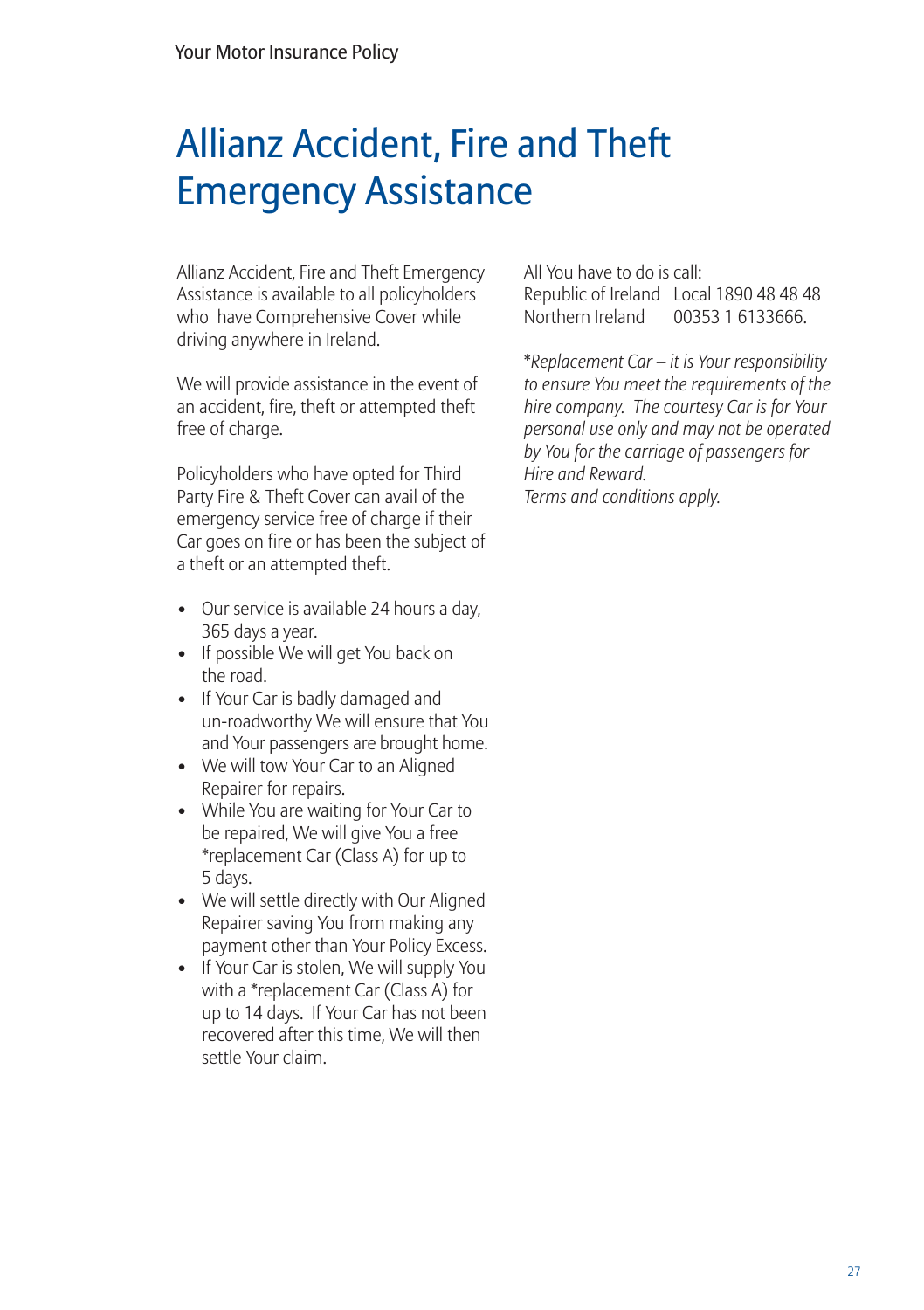## Allianz Accident, Fire and Theft Emergency Assistance

Allianz Accident, Fire and Theft Emergency Assistance is available to all policyholders who have Comprehensive Cover while driving anywhere in Ireland.

We will provide assistance in the event of an accident, fire, theft or attempted theft free of charge.

Policyholders who have opted for Third Party Fire & Theft Cover can avail of the emergency service free of charge if their Car goes on fire or has been the subject of a theft or an attempted theft.

- Our service is available 24 hours a day, 365 days a year.
- If possible We will get You back on the road.
- If Your Car is badly damaged and un-roadworthy We will ensure that You and Your passengers are brought home.
- We will tow Your Car to an Aligned Repairer for repairs.
- While You are waiting for Your Car to be repaired, We will give You a free \*replacement Car (Class A) for up to 5 days.
- We will settle directly with Our Aligned Repairer saving You from making any payment other than Your Policy Excess.
- If Your Car is stolen, We will supply You with a \*replacement Car (Class A) for up to 14 days. If Your Car has not been recovered after this time, We will then settle Your claim.

All You have to do is call: Republic of Ireland Local 1890 48 48 48 Northern Ireland 00353 1 6133666.

\**Replacement Car – it is Your responsibility to ensure You meet the requirements of the hire company. The courtesy Car is for Your personal use only and may not be operated by You for the carriage of passengers for Hire and Reward. Terms and conditions apply.*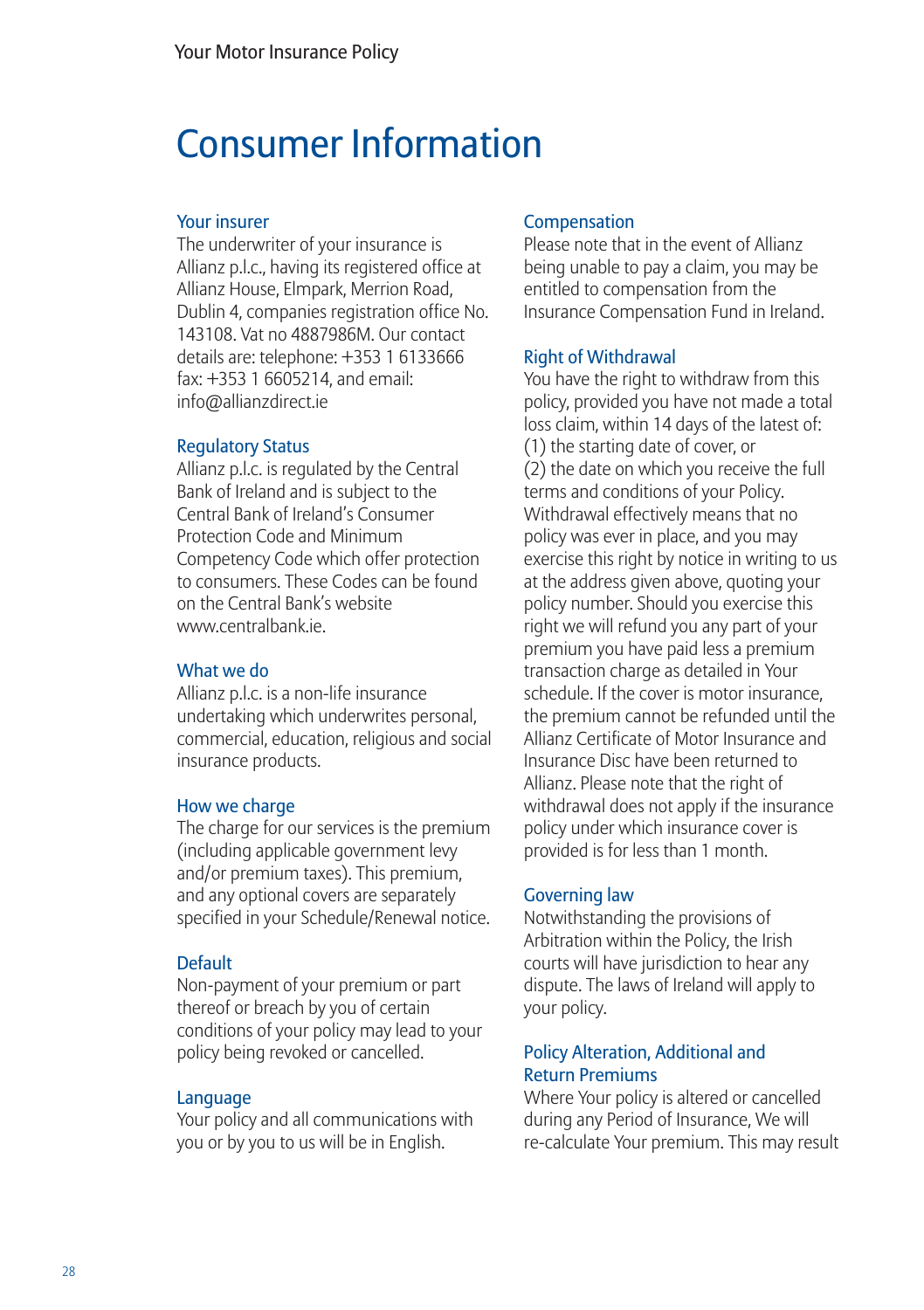### Consumer Information

#### Your insurer

The underwriter of your insurance is Allianz p.l.c., having its registered office at Allianz House, Elmpark, Merrion Road, Dublin 4, companies registration office No. 143108. Vat no 4887986M. Our contact details are: telephone: +353 1 6133666 fax: +353 1 6605214, and email: info@allianzdirect.ie

#### Regulatory Status

Allianz p.l.c. is regulated by the Central Bank of Ireland and is subject to the Central Bank of Ireland's Consumer Protection Code and Minimum Competency Code which offer protection to consumers. These Codes can be found on the Central Bank's website www.centralbank.ie.

#### What we do

Allianz p.l.c. is a non-life insurance undertaking which underwrites personal, commercial, education, religious and social insurance products.

#### How we charge

The charge for our services is the premium (including applicable government levy and/or premium taxes). This premium, and any optional covers are separately specified in your Schedule/Renewal notice.

#### Default

Non-payment of your premium or part thereof or breach by you of certain conditions of your policy may lead to your policy being revoked or cancelled.

#### Language

Your policy and all communications with you or by you to us will be in English.

#### Compensation

Please note that in the event of Allianz being unable to pay a claim, you may be entitled to compensation from the Insurance Compensation Fund in Ireland.

#### Right of Withdrawal

You have the right to withdraw from this policy, provided you have not made a total loss claim, within 14 days of the latest of: (1) the starting date of cover, or (2) the date on which you receive the full terms and conditions of your Policy. Withdrawal effectively means that no policy was ever in place, and you may exercise this right by notice in writing to us at the address given above, quoting your policy number. Should you exercise this right we will refund you any part of your premium you have paid less a premium transaction charge as detailed in Your schedule. If the cover is motor insurance, the premium cannot be refunded until the Allianz Certificate of Motor Insurance and Insurance Disc have been returned to Allianz. Please note that the right of withdrawal does not apply if the insurance policy under which insurance cover is provided is for less than 1 month.

#### Governing law

Notwithstanding the provisions of Arbitration within the Policy, the Irish courts will have jurisdiction to hear any dispute. The laws of Ireland will apply to your policy.

#### Policy Alteration, Additional and Return Premiums

Where Your policy is altered or cancelled during any Period of Insurance, We will re-calculate Your premium. This may result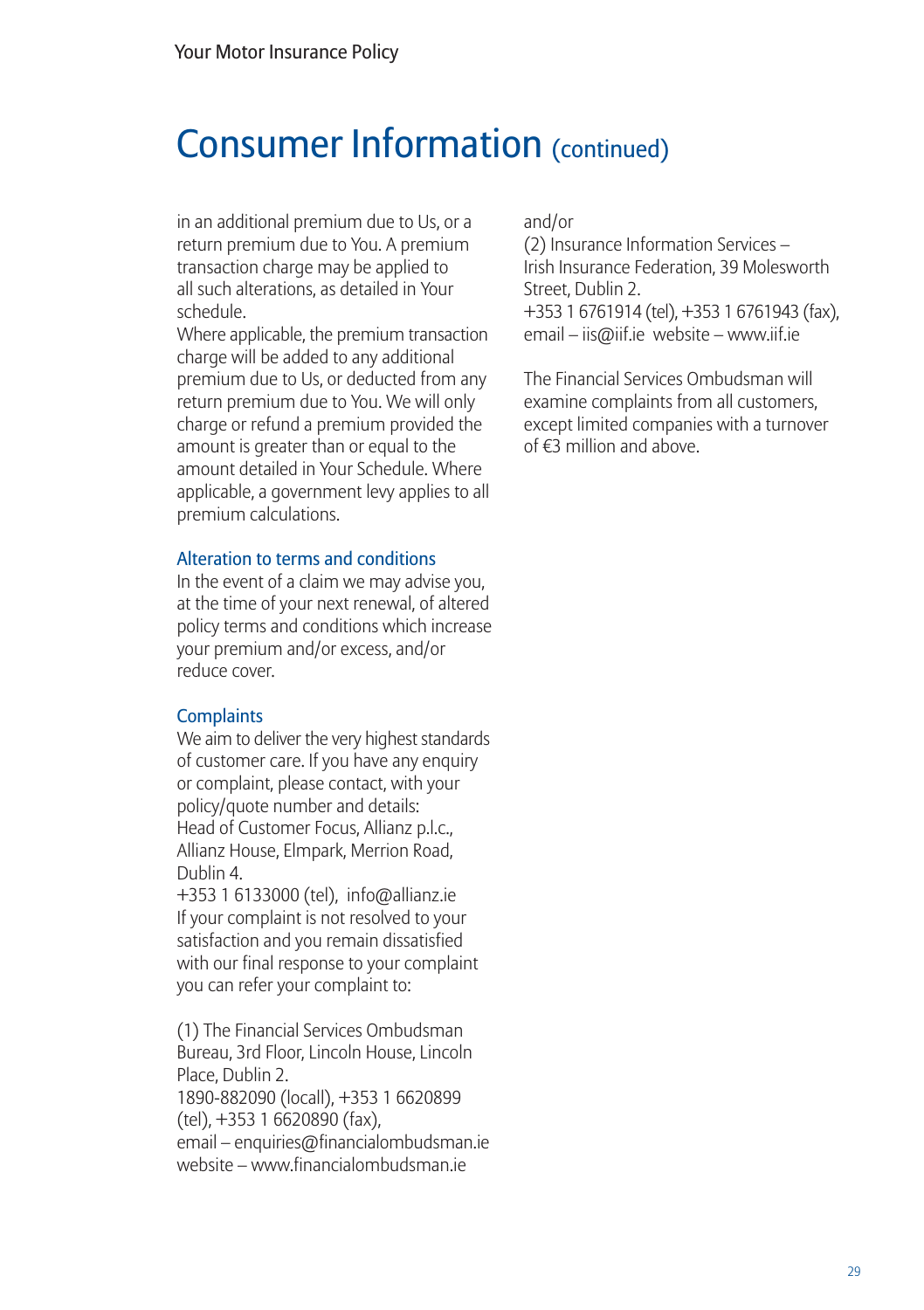### Consumer Information (continued)

in an additional premium due to Us, or a return premium due to You. A premium transaction charge may be applied to all such alterations, as detailed in Your schedule.

Where applicable, the premium transaction charge will be added to any additional premium due to Us, or deducted from any return premium due to You. We will only charge or refund a premium provided the amount is greater than or equal to the amount detailed in Your Schedule. Where applicable, a government levy applies to all premium calculations.

#### Alteration to terms and conditions

In the event of a claim we may advise you, at the time of your next renewal, of altered policy terms and conditions which increase your premium and/or excess, and/or reduce cover.

#### **Complaints**

We aim to deliver the very highest standards of customer care. If you have any enquiry or complaint, please contact, with your policy/quote number and details: Head of Customer Focus, Allianz p.l.c., Allianz House, Elmpark, Merrion Road, Dublin 4.

+353 1 6133000 (tel), info@allianz.ie If your complaint is not resolved to your satisfaction and you remain dissatisfied with our final response to your complaint you can refer your complaint to:

(1) The Financial Services Ombudsman Bureau, 3rd Floor, Lincoln House, Lincoln Place, Dublin 2.

1890-882090 (locall), +353 1 6620899 (tel), +353 1 6620890 (fax),

email – enquiries@financialombudsman.ie website – www.financialombudsman.ie

and/or

(2) Insurance Information Services – Irish Insurance Federation, 39 Molesworth Street, Dublin 2.

+353 1 6761914 (tel), +353 1 6761943 (fax), email – iis@iif.ie website – www.iif.ie

The Financial Services Ombudsman will examine complaints from all customers, except limited companies with a turnover of €3 million and above.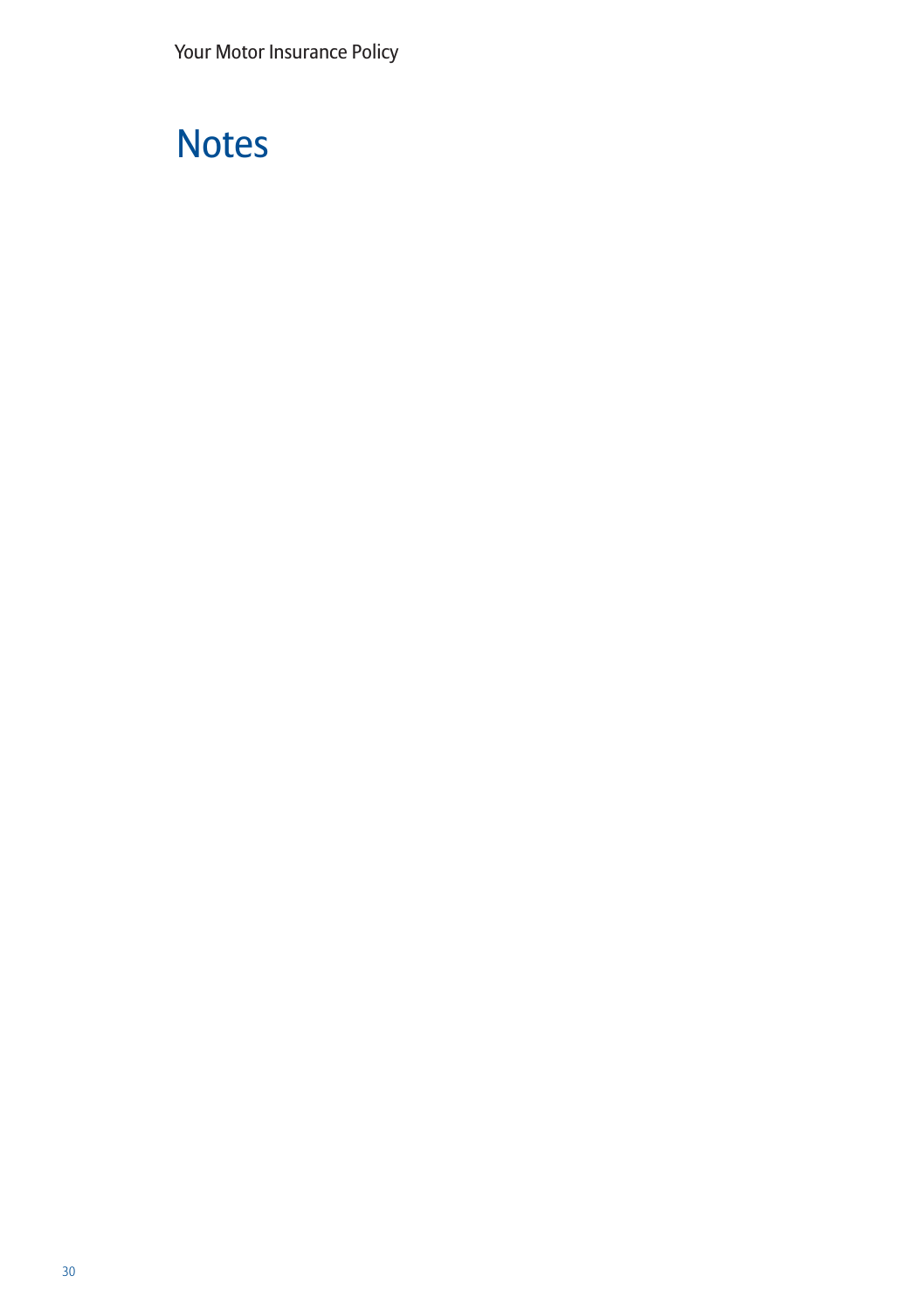## **Notes**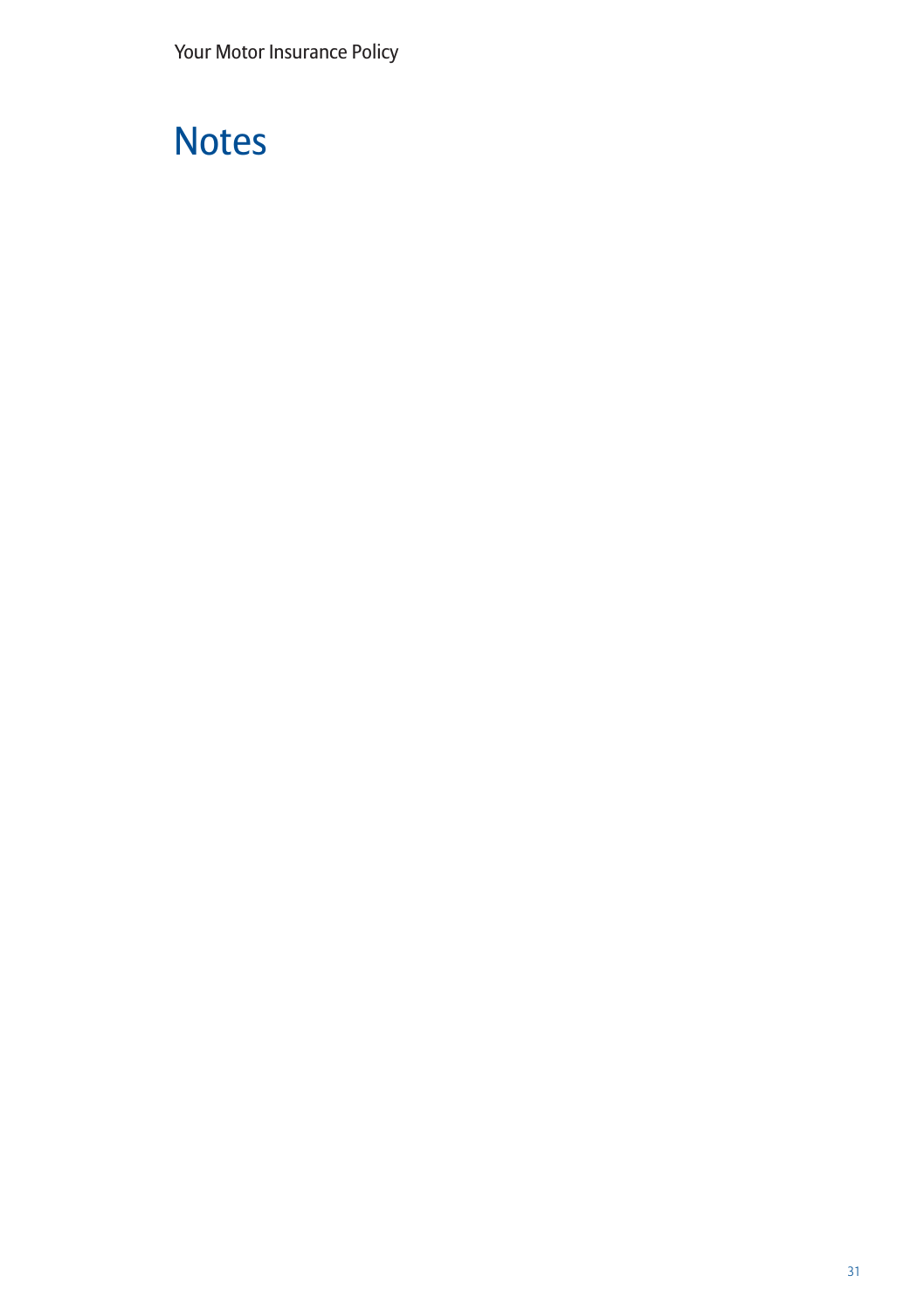## **Notes**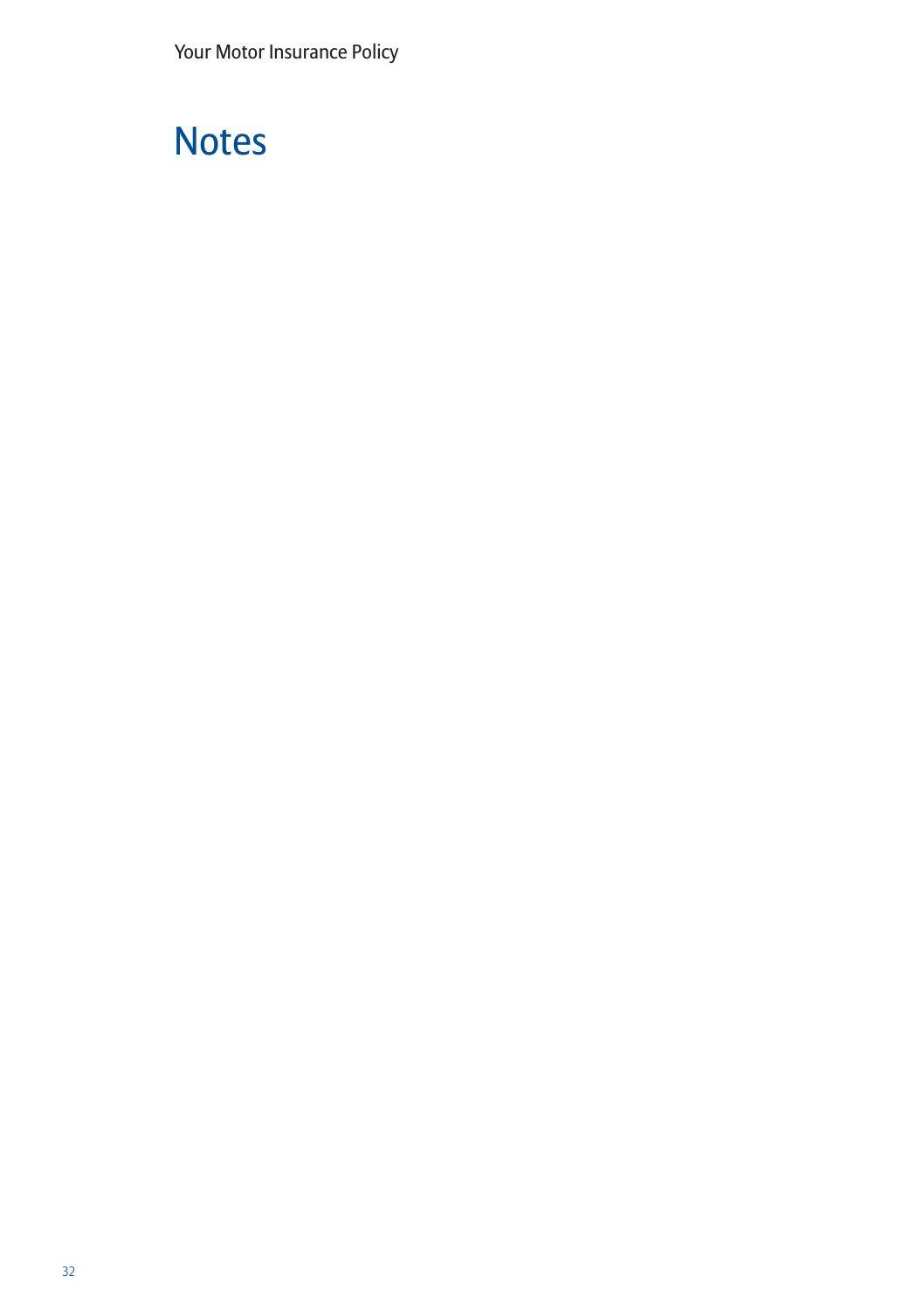## **Notes**